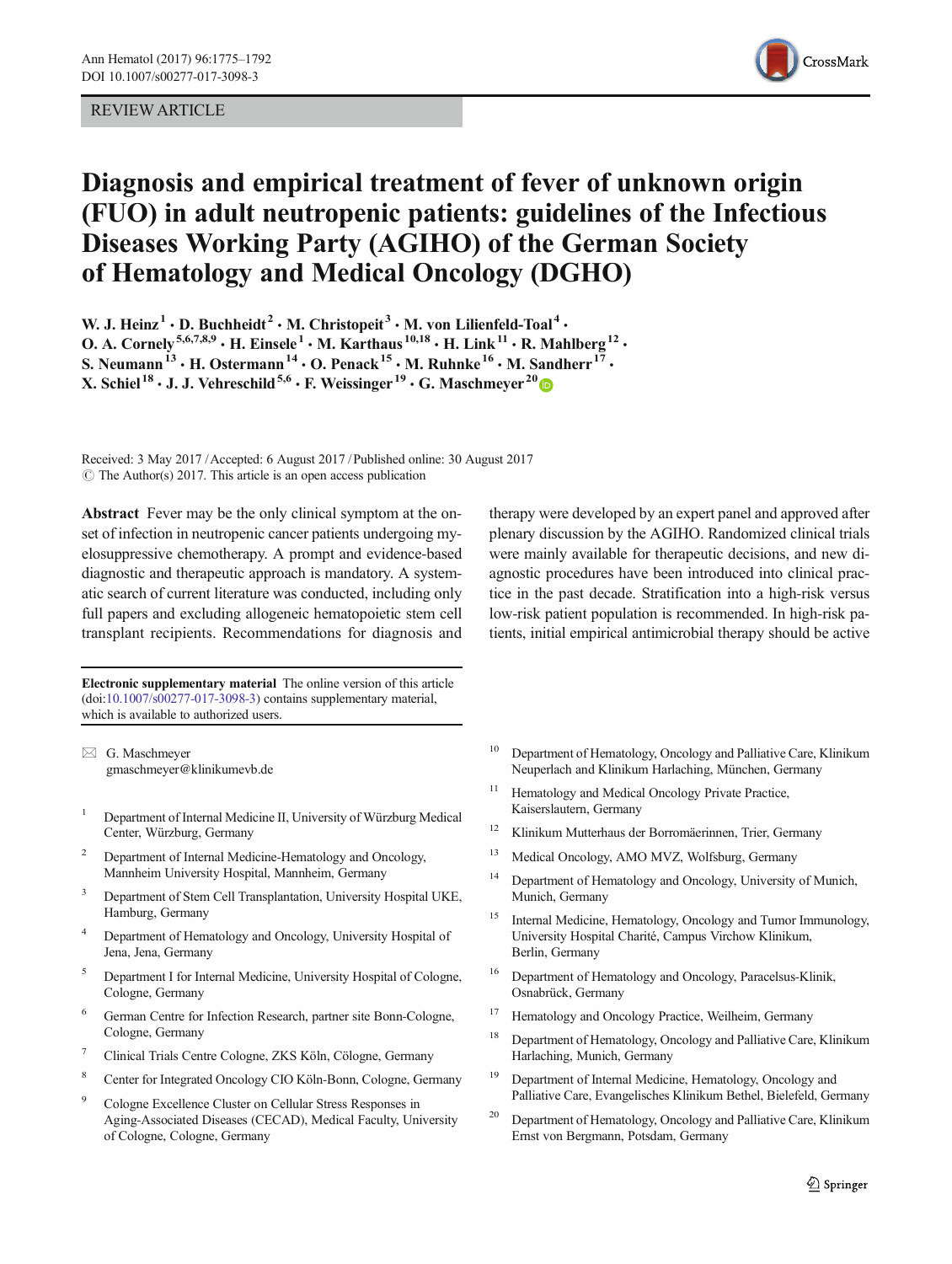#### REVIEW ARTICLE



# Diagnosis and empirical treatment of fever of unknown origin (FUO) in adult neutropenic patients: guidelines of the Infectious Diseases Working Party (AGIHO) of the German Society of Hematology and Medical Oncology (DGHO)

W. J. Heinz<sup>1</sup>  $\cdot$  D. Buchheidt<sup>2</sup>  $\cdot$  M. Christopeit<sup>3</sup>  $\cdot$  M. von Lilienfeld-Toal<sup>4</sup>  $\cdot$ O. A. Cornely<sup>5,6,7,8,9</sup>  $\cdot$  H. Einsele<sup>1</sup>  $\cdot$  M. Karthaus  $^{10,18}$   $\cdot$  H. Link<sup>11</sup>  $\cdot$  R. Mahlberg<sup>12</sup>  $\cdot$ S. Neumann $^{13}$  · H. Ostermann $^{14}$  · O. Penack $^{15}$  · M. Ruhnke $^{16}$  · M. Sandherr $^{17}$  · X. Schiel<sup>18</sup> • J. J. Vehreschild<sup>5,6</sup> • F. Weissinger<sup>19</sup> • G. Maschmeyer<sup>20</sup>

Received: 3 May 2017 /Accepted: 6 August 2017 /Published online: 30 August 2017  $\circ$  The Author(s) 2017. This article is an open access publication

Abstract Fever may be the only clinical symptom at the onset of infection in neutropenic cancer patients undergoing myelosuppressive chemotherapy. A prompt and evidence-based diagnostic and therapeutic approach is mandatory. A systematic search of current literature was conducted, including only full papers and excluding allogeneic hematopoietic stem cell transplant recipients. Recommendations for diagnosis and

Electronic supplementary material The online version of this article (doi[:10.1007/s00277-017-3098-3](http://dx.doi.org/10.1007/s00277-017-3098-3)) contains supplementary material, which is available to authorized users.

 $\boxtimes$  G. Maschmeyer [gmaschmeyer@klinikumevb.de](mailto:gmaschmeyer@klinikumevb.de)

- <sup>1</sup> Department of Internal Medicine II, University of Würzburg Medical Center, Würzburg, Germany
- <sup>2</sup> Department of Internal Medicine-Hematology and Oncology, Mannheim University Hospital, Mannheim, Germany
- <sup>3</sup> Department of Stem Cell Transplantation, University Hospital UKE, Hamburg, Germany
- <sup>4</sup> Department of Hematology and Oncology, University Hospital of Jena, Jena, Germany
- <sup>5</sup> Department I for Internal Medicine, University Hospital of Cologne, Cologne, Germany
- <sup>6</sup> German Centre for Infection Research, partner site Bonn-Cologne, Cologne, Germany
- <sup>7</sup> Clinical Trials Centre Cologne, ZKS Köln, Cölogne, Germany
- <sup>8</sup> Center for Integrated Oncology CIO Köln-Bonn, Cologne, Germany
- <sup>9</sup> Cologne Excellence Cluster on Cellular Stress Responses in Aging-Associated Diseases (CECAD), Medical Faculty, University of Cologne, Cologne, Germany

therapy were developed by an expert panel and approved after plenary discussion by the AGIHO. Randomized clinical trials were mainly available for therapeutic decisions, and new diagnostic procedures have been introduced into clinical practice in the past decade. Stratification into a high-risk versus low-risk patient population is recommended. In high-risk patients, initial empirical antimicrobial therapy should be active

- <sup>10</sup> Department of Hematology, Oncology and Palliative Care, Klinikum Neuperlach and Klinikum Harlaching, München, Germany
- <sup>11</sup> Hematology and Medical Oncology Private Practice, Kaiserslautern, Germany
- <sup>12</sup> Klinikum Mutterhaus der Borromäerinnen, Trier, Germany
- <sup>13</sup> Medical Oncology, AMO MVZ, Wolfsburg, Germany
- <sup>14</sup> Department of Hematology and Oncology, University of Munich, Munich, Germany
- <sup>15</sup> Internal Medicine, Hematology, Oncology and Tumor Immunology, University Hospital Charité, Campus Virchow Klinikum, Berlin, Germany
- <sup>16</sup> Department of Hematology and Oncology, Paracelsus-Klinik, Osnabrück, Germany
- <sup>17</sup> Hematology and Oncology Practice, Weilheim, Germany
- <sup>18</sup> Department of Hematology, Oncology and Palliative Care, Klinikum Harlaching, Munich, Germany
- <sup>19</sup> Department of Internal Medicine, Hematology, Oncology and Palliative Care, Evangelisches Klinikum Bethel, Bielefeld, Germany
- <sup>20</sup> Department of Hematology, Oncology and Palliative Care, Klinikum Ernst von Bergmann, Potsdam, Germany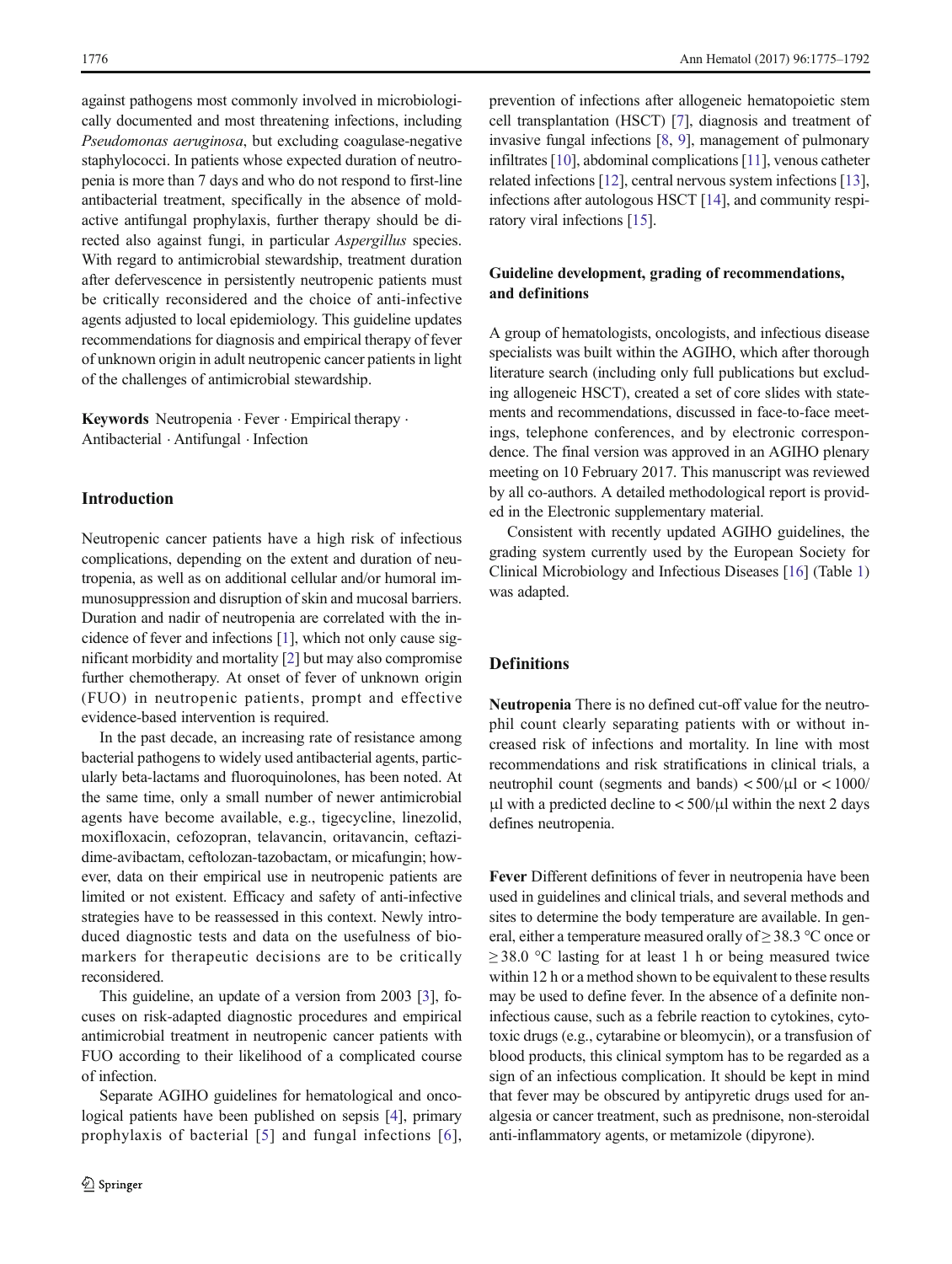against pathogens most commonly involved in microbiologically documented and most threatening infections, including Pseudomonas aeruginosa, but excluding coagulase-negative staphylococci. In patients whose expected duration of neutropenia is more than 7 days and who do not respond to first-line antibacterial treatment, specifically in the absence of moldactive antifungal prophylaxis, further therapy should be directed also against fungi, in particular Aspergillus species. With regard to antimicrobial stewardship, treatment duration after defervescence in persistently neutropenic patients must be critically reconsidered and the choice of anti-infective agents adjusted to local epidemiology. This guideline updates recommendations for diagnosis and empirical therapy of fever of unknown origin in adult neutropenic cancer patients in light of the challenges of antimicrobial stewardship.

Keywords Neutropenia · Fever · Empirical therapy · Antibacterial . Antifungal . Infection

# Introduction

Neutropenic cancer patients have a high risk of infectious complications, depending on the extent and duration of neutropenia, as well as on additional cellular and/or humoral immunosuppression and disruption of skin and mucosal barriers. Duration and nadir of neutropenia are correlated with the incidence of fever and infections [\[1](#page-11-0)], which not only cause significant morbidity and mortality [[2](#page-11-0)] but may also compromise further chemotherapy. At onset of fever of unknown origin (FUO) in neutropenic patients, prompt and effective evidence-based intervention is required.

In the past decade, an increasing rate of resistance among bacterial pathogens to widely used antibacterial agents, particularly beta-lactams and fluoroquinolones, has been noted. At the same time, only a small number of newer antimicrobial agents have become available, e.g., tigecycline, linezolid, moxifloxacin, cefozopran, telavancin, oritavancin, ceftazidime-avibactam, ceftolozan-tazobactam, or micafungin; however, data on their empirical use in neutropenic patients are limited or not existent. Efficacy and safety of anti-infective strategies have to be reassessed in this context. Newly introduced diagnostic tests and data on the usefulness of biomarkers for therapeutic decisions are to be critically reconsidered.

This guideline, an update of a version from 2003 [\[3](#page-11-0)], focuses on risk-adapted diagnostic procedures and empirical antimicrobial treatment in neutropenic cancer patients with FUO according to their likelihood of a complicated course of infection.

Separate AGIHO guidelines for hematological and oncological patients have been published on sepsis [\[4](#page-11-0)], primary prophylaxis of bacterial [[5\]](#page-12-0) and fungal infections [[6](#page-12-0)], prevention of infections after allogeneic hematopoietic stem cell transplantation (HSCT) [\[7](#page-12-0)], diagnosis and treatment of invasive fungal infections [[8,](#page-12-0) [9](#page-12-0)], management of pulmonary infiltrates [[10\]](#page-12-0), abdominal complications [\[11\]](#page-12-0), venous catheter related infections [[12](#page-12-0)], central nervous system infections [[13\]](#page-12-0), infections after autologous HSCT [[14](#page-12-0)], and community respiratory viral infections [[15](#page-12-0)].

# Guideline development, grading of recommendations, and definitions

A group of hematologists, oncologists, and infectious disease specialists was built within the AGIHO, which after thorough literature search (including only full publications but excluding allogeneic HSCT), created a set of core slides with statements and recommendations, discussed in face-to-face meetings, telephone conferences, and by electronic correspondence. The final version was approved in an AGIHO plenary meeting on 10 February 2017. This manuscript was reviewed by all co-authors. A detailed methodological report is provided in the Electronic supplementary material.

Consistent with recently updated AGIHO guidelines, the grading system currently used by the European Society for Clinical Microbiology and Infectious Diseases [\[16\]](#page-12-0) (Table [1\)](#page-2-0) was adapted.

# **Definitions**

Neutropenia There is no defined cut-off value for the neutrophil count clearly separating patients with or without increased risk of infections and mortality. In line with most recommendations and risk stratifications in clinical trials, a neutrophil count (segments and bands) < 500/μl or < 1000/ μl with a predicted decline to  $\langle 500/μ$ l within the next 2 days defines neutropenia.

Fever Different definitions of fever in neutropenia have been used in guidelines and clinical trials, and several methods and sites to determine the body temperature are available. In general, either a temperature measured orally of  $\geq$  38.3 °C once or  $\geq$  38.0 °C lasting for at least 1 h or being measured twice within 12 h or a method shown to be equivalent to these results may be used to define fever. In the absence of a definite noninfectious cause, such as a febrile reaction to cytokines, cytotoxic drugs (e.g., cytarabine or bleomycin), or a transfusion of blood products, this clinical symptom has to be regarded as a sign of an infectious complication. It should be kept in mind that fever may be obscured by antipyretic drugs used for analgesia or cancer treatment, such as prednisone, non-steroidal anti-inflammatory agents, or metamizole (dipyrone).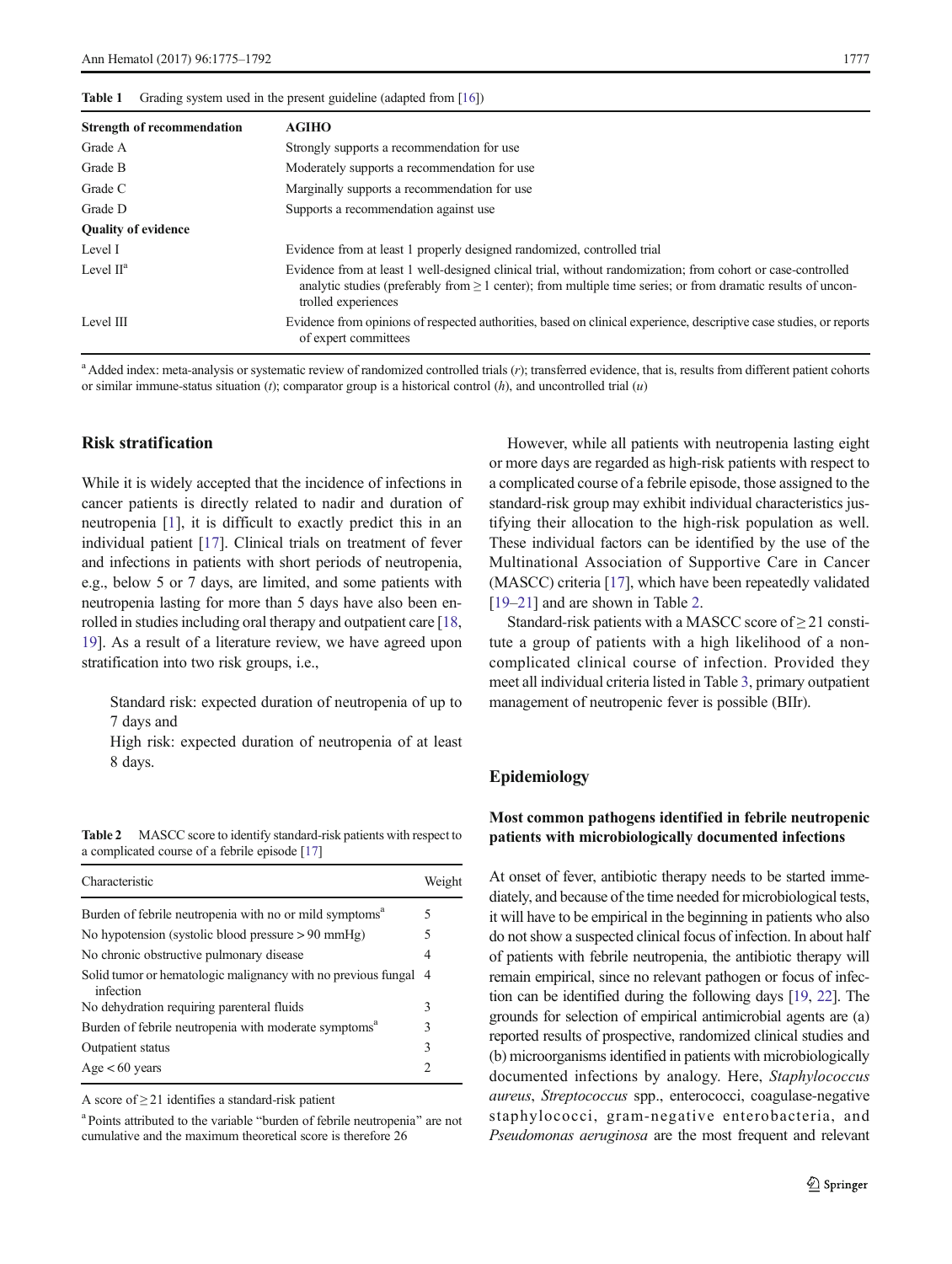| <b>AGIHO</b>                                                                                                                                                                                                                                             |
|----------------------------------------------------------------------------------------------------------------------------------------------------------------------------------------------------------------------------------------------------------|
| Strongly supports a recommendation for use                                                                                                                                                                                                               |
| Moderately supports a recommendation for use                                                                                                                                                                                                             |
| Marginally supports a recommendation for use.                                                                                                                                                                                                            |
| Supports a recommendation against use                                                                                                                                                                                                                    |
|                                                                                                                                                                                                                                                          |
| Evidence from at least 1 properly designed randomized, controlled trial                                                                                                                                                                                  |
| Evidence from at least 1 well-designed clinical trial, without randomization; from cohort or case-controlled<br>analytic studies (preferably from $\geq 1$ center); from multiple time series; or from dramatic results of uncon-<br>trolled experiences |
| Evidence from opinions of respected authorities, based on clinical experience, descriptive case studies, or reports<br>of expert committees                                                                                                              |
|                                                                                                                                                                                                                                                          |

<span id="page-2-0"></span>Table 1 Grading system used in the present guideline (adapted from [\[16](#page-12-0)])

<sup>a</sup> Added index: meta-analysis or systematic review of randomized controlled trials (r); transferred evidence, that is, results from different patient cohorts or similar immune-status situation (t); comparator group is a historical control  $(h)$ , and uncontrolled trial  $(u)$ 

# Risk stratification

While it is widely accepted that the incidence of infections in cancer patients is directly related to nadir and duration of neutropenia [[1](#page-11-0)], it is difficult to exactly predict this in an individual patient [\[17](#page-12-0)]. Clinical trials on treatment of fever and infections in patients with short periods of neutropenia, e.g., below 5 or 7 days, are limited, and some patients with neutropenia lasting for more than 5 days have also been enrolled in studies including oral therapy and outpatient care [[18,](#page-12-0) [19\]](#page-12-0). As a result of a literature review, we have agreed upon stratification into two risk groups, i.e.,

Standard risk: expected duration of neutropenia of up to 7 days and

High risk: expected duration of neutropenia of at least 8 days.

Table 2 MASCC score to identify standard-risk patients with respect to a complicated course of a febrile episode [[17](#page-12-0)]

| Characteristic                                                               | Weight |
|------------------------------------------------------------------------------|--------|
| Burden of febrile neutropenia with no or mild symptoms <sup>a</sup>          | 5      |
| No hypotension (systolic blood pressure $> 90$ mmHg)                         | 5      |
| No chronic obstructive pulmonary disease                                     | 4      |
| Solid tumor or hematologic malignancy with no previous fungal 4<br>infection |        |
| No dehydration requiring parenteral fluids                                   | 3      |
| Burden of febrile neutropenia with moderate symptoms <sup>a</sup>            | 3      |
| Outpatient status                                                            | 3      |
| Age $< 60$ years                                                             | 2      |
|                                                                              |        |

A score of  $\geq$  21 identifies a standard-risk patient

<sup>a</sup> Points attributed to the variable "burden of febrile neutropenia" are not cumulative and the maximum theoretical score is therefore 26

However, while all patients with neutropenia lasting eight or more days are regarded as high-risk patients with respect to a complicated course of a febrile episode, those assigned to the standard-risk group may exhibit individual characteristics justifying their allocation to the high-risk population as well. These individual factors can be identified by the use of the Multinational Association of Supportive Care in Cancer (MASCC) criteria [\[17](#page-12-0)], which have been repeatedly validated [\[19](#page-12-0)–[21\]](#page-12-0) and are shown in Table 2.

Standard-risk patients with a MASCC score of  $\geq 21$  constitute a group of patients with a high likelihood of a noncomplicated clinical course of infection. Provided they meet all individual criteria listed in Table [3,](#page-3-0) primary outpatient management of neutropenic fever is possible (BIIr).

## Epidemiology

# Most common pathogens identified in febrile neutropenic patients with microbiologically documented infections

At onset of fever, antibiotic therapy needs to be started immediately, and because of the time needed for microbiological tests, it will have to be empirical in the beginning in patients who also do not show a suspected clinical focus of infection. In about half of patients with febrile neutropenia, the antibiotic therapy will remain empirical, since no relevant pathogen or focus of infection can be identified during the following days [\[19,](#page-12-0) [22\]](#page-13-0). The grounds for selection of empirical antimicrobial agents are (a) reported results of prospective, randomized clinical studies and (b) microorganisms identified in patients with microbiologically documented infections by analogy. Here, Staphylococcus aureus, Streptococcus spp., enterococci, coagulase-negative staphylococci, gram-negative enterobacteria, and Pseudomonas aeruginosa are the most frequent and relevant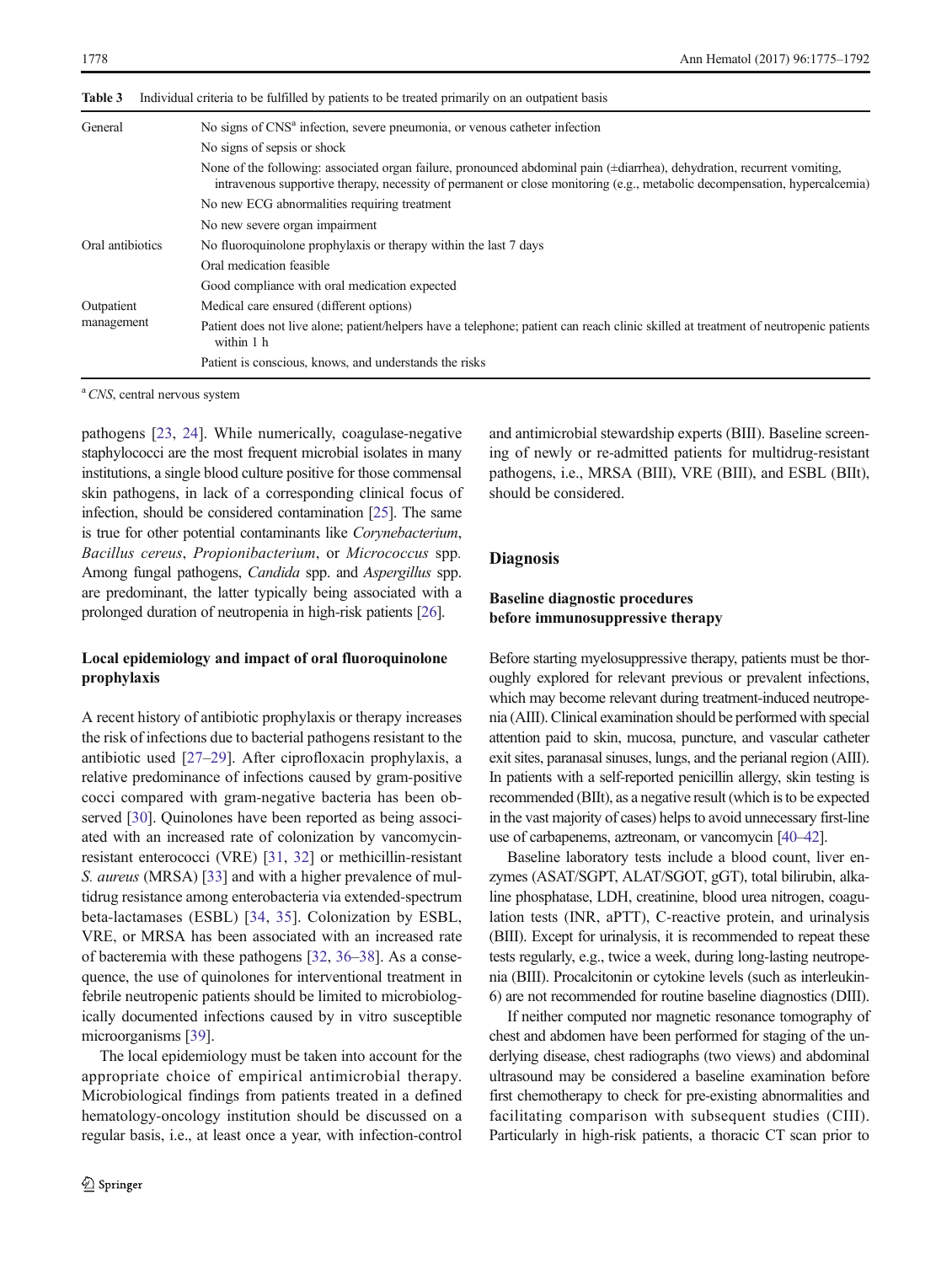<span id="page-3-0"></span>

| Table 3          | Individual criteria to be fulfilled by patients to be treated primarily on an outpatient basis                                                                                                                                                               |
|------------------|--------------------------------------------------------------------------------------------------------------------------------------------------------------------------------------------------------------------------------------------------------------|
| General          | No signs of CNS <sup>a</sup> infection, severe pneumonia, or venous catheter infection                                                                                                                                                                       |
|                  | No signs of sepsis or shock                                                                                                                                                                                                                                  |
|                  | None of the following: associated organ failure, pronounced abdominal pain ( $\pm$ diarrhea), dehydration, recurrent vomiting,<br>intravenous supportive therapy, necessity of permanent or close monitoring (e.g., metabolic decompensation, hypercalcemia) |
|                  | No new ECG abnormalities requiring treatment                                                                                                                                                                                                                 |
|                  | No new severe organ impairment                                                                                                                                                                                                                               |
| Oral antibiotics | No fluoroquinolone prophylaxis or therapy within the last 7 days                                                                                                                                                                                             |
|                  | Oral medication feasible                                                                                                                                                                                                                                     |
|                  | Good compliance with oral medication expected                                                                                                                                                                                                                |
| Outpatient       | Medical care ensured (different options)                                                                                                                                                                                                                     |
| management       | Patient does not live alone; patient/helpers have a telephone; patient can reach clinic skilled at treatment of neutropenic patients<br>within 1 h                                                                                                           |
|                  | Patient is conscious, knows, and understands the risks                                                                                                                                                                                                       |

<sup>a</sup> CNS, central nervous system

pathogens [\[23,](#page-13-0) [24](#page-13-0)]. While numerically, coagulase-negative staphylococci are the most frequent microbial isolates in many institutions, a single blood culture positive for those commensal skin pathogens, in lack of a corresponding clinical focus of infection, should be considered contamination [[25](#page-13-0)]. The same is true for other potential contaminants like Corynebacterium, Bacillus cereus, Propionibacterium, or Micrococcus spp. Among fungal pathogens, Candida spp. and Aspergillus spp. are predominant, the latter typically being associated with a prolonged duration of neutropenia in high-risk patients [\[26](#page-13-0)].

### Local epidemiology and impact of oral fluoroquinolone prophylaxis

A recent history of antibiotic prophylaxis or therapy increases the risk of infections due to bacterial pathogens resistant to the antibiotic used [[27](#page-13-0)–[29\]](#page-13-0). After ciprofloxacin prophylaxis, a relative predominance of infections caused by gram-positive cocci compared with gram-negative bacteria has been ob-served [\[30](#page-13-0)]. Quinolones have been reported as being associ-ated with an increased rate of colonization by vancomycinresistant enterococci (VRE) [[31,](#page-13-0) [32\]](#page-13-0) or methicillin-resistant S. *aureus* (MRSA) [\[33](#page-13-0)] and with a higher prevalence of multidrug resistance among enterobacteria via extended-spectrum beta-lactamases (ESBL) [\[34](#page-13-0), [35\]](#page-13-0). Colonization by ESBL, VRE, or MRSA has been associated with an increased rate of bacteremia with these pathogens [\[32,](#page-13-0) [36](#page-13-0)–[38\]](#page-13-0). As a consequence, the use of quinolones for interventional treatment in febrile neutropenic patients should be limited to microbiologically documented infections caused by in vitro susceptible microorganisms [\[39\]](#page-13-0).

The local epidemiology must be taken into account for the appropriate choice of empirical antimicrobial therapy. Microbiological findings from patients treated in a defined hematology-oncology institution should be discussed on a regular basis, i.e., at least once a year, with infection-control and antimicrobial stewardship experts (BIII). Baseline screening of newly or re-admitted patients for multidrug-resistant pathogens, i.e., MRSA (BIII), VRE (BIII), and ESBL (BIIt), should be considered.

# Diagnosis

#### Baseline diagnostic procedures before immunosuppressive therapy

Before starting myelosuppressive therapy, patients must be thoroughly explored for relevant previous or prevalent infections, which may become relevant during treatment-induced neutropenia (AIII). Clinical examination should be performed with special attention paid to skin, mucosa, puncture, and vascular catheter exit sites, paranasal sinuses, lungs, and the perianal region (AIII). In patients with a self-reported penicillin allergy, skin testing is recommended (BIIt), as a negative result (which is to be expected in the vast majority of cases) helps to avoid unnecessary first-line use of carbapenems, aztreonam, or vancomycin [\[40](#page-13-0)–[42\]](#page-13-0).

Baseline laboratory tests include a blood count, liver enzymes (ASAT/SGPT, ALAT/SGOT, gGT), total bilirubin, alkaline phosphatase, LDH, creatinine, blood urea nitrogen, coagulation tests (INR, aPTT), C-reactive protein, and urinalysis (BIII). Except for urinalysis, it is recommended to repeat these tests regularly, e.g., twice a week, during long-lasting neutropenia (BIII). Procalcitonin or cytokine levels (such as interleukin-6) are not recommended for routine baseline diagnostics (DIII).

If neither computed nor magnetic resonance tomography of chest and abdomen have been performed for staging of the underlying disease, chest radiographs (two views) and abdominal ultrasound may be considered a baseline examination before first chemotherapy to check for pre-existing abnormalities and facilitating comparison with subsequent studies (CIII). Particularly in high-risk patients, a thoracic CT scan prior to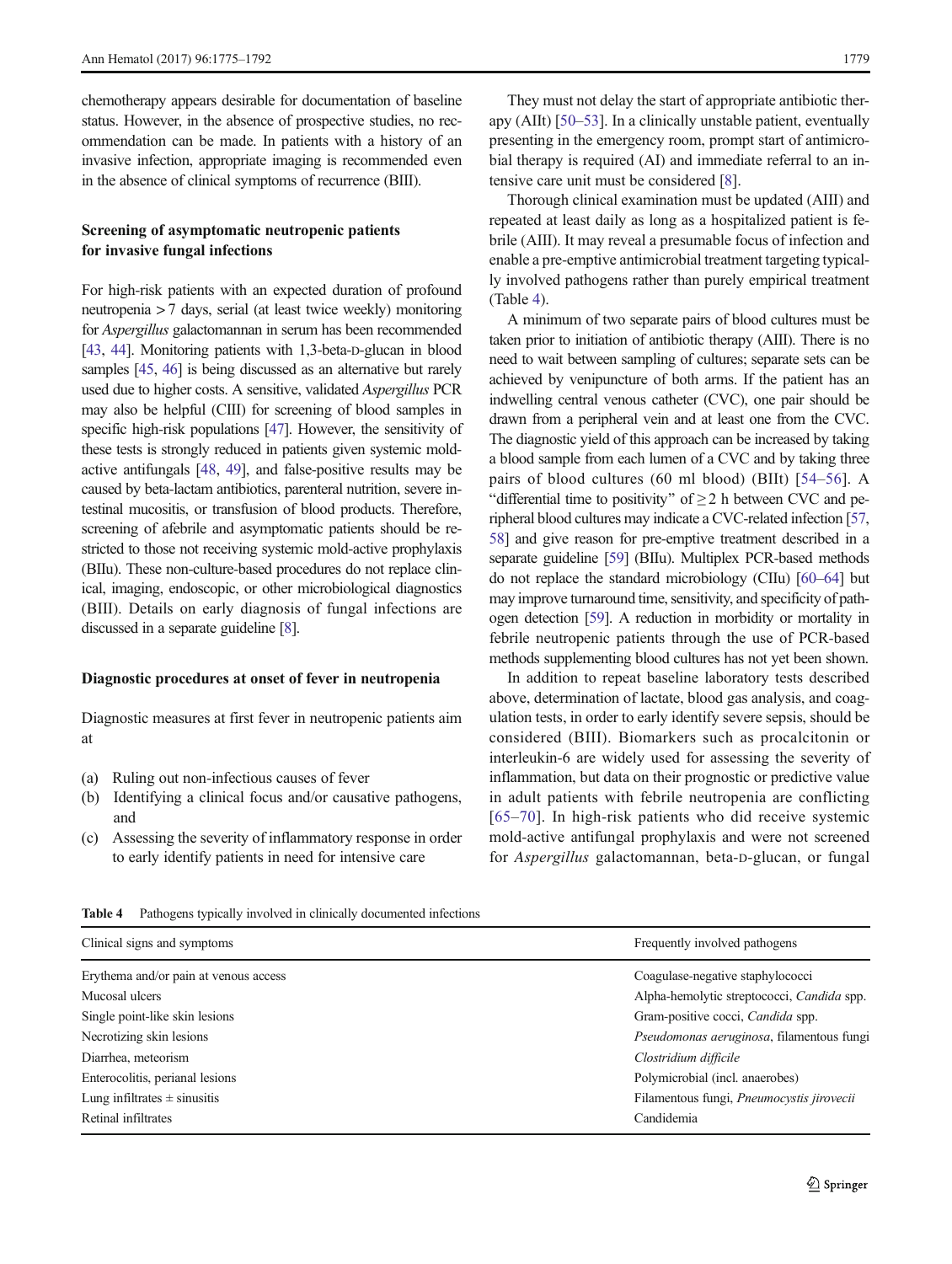<span id="page-4-0"></span>chemotherapy appears desirable for documentation of baseline status. However, in the absence of prospective studies, no recommendation can be made. In patients with a history of an invasive infection, appropriate imaging is recommended even in the absence of clinical symptoms of recurrence (BIII).

### Screening of asymptomatic neutropenic patients for invasive fungal infections

For high-risk patients with an expected duration of profound neutropenia > 7 days, serial (at least twice weekly) monitoring for Aspergillus galactomannan in serum has been recommended [\[43](#page-13-0), [44\]](#page-13-0). Monitoring patients with 1,3-beta-D-glucan in blood samples [\[45](#page-13-0), [46](#page-13-0)] is being discussed as an alternative but rarely used due to higher costs. A sensitive, validated Aspergillus PCR may also be helpful (CIII) for screening of blood samples in specific high-risk populations [\[47\]](#page-13-0). However, the sensitivity of these tests is strongly reduced in patients given systemic moldactive antifungals [[48](#page-13-0), [49\]](#page-13-0), and false-positive results may be caused by beta-lactam antibiotics, parenteral nutrition, severe intestinal mucositis, or transfusion of blood products. Therefore, screening of afebrile and asymptomatic patients should be restricted to those not receiving systemic mold-active prophylaxis (BIIu). These non-culture-based procedures do not replace clinical, imaging, endoscopic, or other microbiological diagnostics (BIII). Details on early diagnosis of fungal infections are discussed in a separate guideline [\[8](#page-12-0)].

#### Diagnostic procedures at onset of fever in neutropenia

Diagnostic measures at first fever in neutropenic patients aim at

- (a) Ruling out non-infectious causes of fever
- (b) Identifying a clinical focus and/or causative pathogens, and
- (c) Assessing the severity of inflammatory response in order to early identify patients in need for intensive care

They must not delay the start of appropriate antibiotic therapy (AIIt) [\[50](#page-14-0)–[53\]](#page-14-0). In a clinically unstable patient, eventually presenting in the emergency room, prompt start of antimicrobial therapy is required (AI) and immediate referral to an intensive care unit must be considered [\[8](#page-12-0)].

Thorough clinical examination must be updated (AIII) and repeated at least daily as long as a hospitalized patient is febrile (AIII). It may reveal a presumable focus of infection and enable a pre-emptive antimicrobial treatment targeting typically involved pathogens rather than purely empirical treatment (Table 4).

A minimum of two separate pairs of blood cultures must be taken prior to initiation of antibiotic therapy (AIII). There is no need to wait between sampling of cultures; separate sets can be achieved by venipuncture of both arms. If the patient has an indwelling central venous catheter (CVC), one pair should be drawn from a peripheral vein and at least one from the CVC. The diagnostic yield of this approach can be increased by taking a blood sample from each lumen of a CVC and by taking three pairs of blood cultures (60 ml blood) (BIIt) [\[54](#page-14-0)–[56\]](#page-14-0). A "differential time to positivity" of  $\geq$  2 h between CVC and peripheral blood cultures may indicate a CVC-related infection [\[57,](#page-14-0) [58\]](#page-14-0) and give reason for pre-emptive treatment described in a separate guideline [\[59\]](#page-14-0) (BIIu). Multiplex PCR-based methods do not replace the standard microbiology (CIIu) [\[60](#page-14-0)–[64](#page-14-0)] but may improve turnaround time, sensitivity, and specificity of pathogen detection [[59](#page-14-0)]. A reduction in morbidity or mortality in febrile neutropenic patients through the use of PCR-based methods supplementing blood cultures has not yet been shown.

In addition to repeat baseline laboratory tests described above, determination of lactate, blood gas analysis, and coagulation tests, in order to early identify severe sepsis, should be considered (BIII). Biomarkers such as procalcitonin or interleukin-6 are widely used for assessing the severity of inflammation, but data on their prognostic or predictive value in adult patients with febrile neutropenia are conflicting [[65](#page-14-0)–[70](#page-14-0)]. In high-risk patients who did receive systemic mold-active antifungal prophylaxis and were not screened for Aspergillus galactomannan, beta-D-glucan, or fungal

Table 4 Pathogens typically involved in clinically documented infections

| Clinical signs and symptoms           | Frequently involved pathogens              |  |
|---------------------------------------|--------------------------------------------|--|
| Erythema and/or pain at venous access | Coagulase-negative staphylococci           |  |
| Mucosal ulcers                        | Alpha-hemolytic streptococci, Candida spp. |  |
| Single point-like skin lesions        | Gram-positive cocci, Candida spp.          |  |
| Necrotizing skin lesions              | Pseudomonas aeruginosa, filamentous fungi  |  |
| Diarrhea, meteorism                   | Clostridium difficile                      |  |
| Enterocolitis, perianal lesions       | Polymicrobial (incl. anaerobes)            |  |
| Lung infiltrates $\pm$ sinusitis      | Filamentous fungi, Pneumocystis jirovecii  |  |
| Retinal infiltrates                   | Candidemia                                 |  |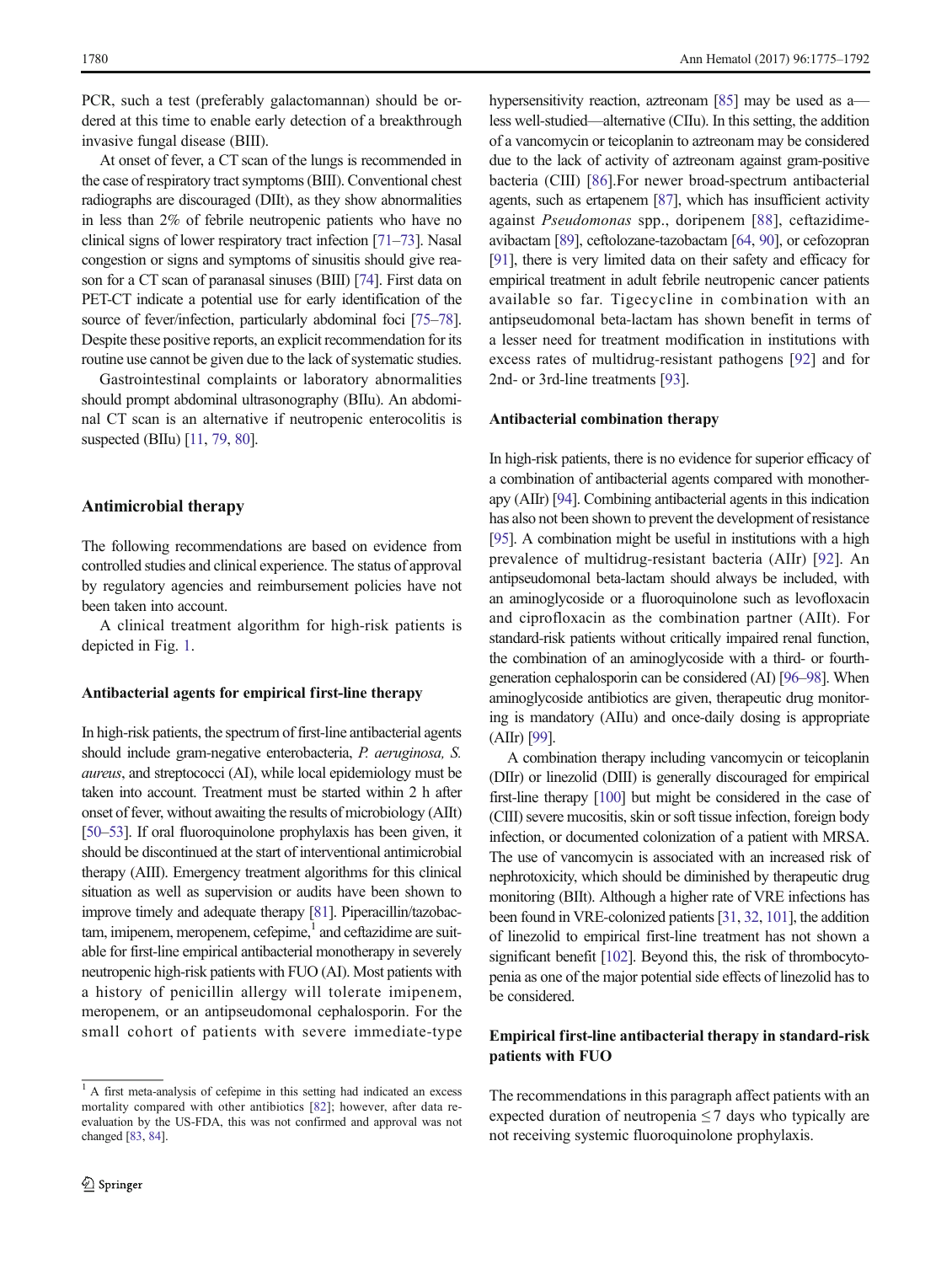PCR, such a test (preferably galactomannan) should be ordered at this time to enable early detection of a breakthrough invasive fungal disease (BIII).

At onset of fever, a CT scan of the lungs is recommended in the case of respiratory tract symptoms (BIII). Conventional chest radiographs are discouraged (DIIt), as they show abnormalities in less than 2% of febrile neutropenic patients who have no clinical signs of lower respiratory tract infection [\[71](#page-14-0)–[73\]](#page-14-0). Nasal congestion or signs and symptoms of sinusitis should give reason for a CT scan of paranasal sinuses (BIII) [[74](#page-14-0)]. First data on PET-CT indicate a potential use for early identification of the source of fever/infection, particularly abdominal foci [\[75](#page-15-0)–[78\]](#page-15-0). Despite these positive reports, an explicit recommendation for its routine use cannot be given due to the lack of systematic studies.

Gastrointestinal complaints or laboratory abnormalities should prompt abdominal ultrasonography (BIIu). An abdominal CT scan is an alternative if neutropenic enterocolitis is suspected (BIIu) [\[11,](#page-12-0) [79,](#page-15-0) [80](#page-15-0)].

#### Antimicrobial therapy

The following recommendations are based on evidence from controlled studies and clinical experience. The status of approval by regulatory agencies and reimbursement policies have not been taken into account.

A clinical treatment algorithm for high-risk patients is depicted in Fig. [1](#page-6-0).

#### Antibacterial agents for empirical first-line therapy

In high-risk patients, the spectrum of first-line antibacterial agents should include gram-negative enterobacteria, P. aeruginosa, S. aureus, and streptococci (AI), while local epidemiology must be taken into account. Treatment must be started within 2 h after onset of fever, without awaiting the results of microbiology (AIIt) [\[50](#page-14-0)–[53](#page-14-0)]. If oral fluoroquinolone prophylaxis has been given, it should be discontinued at the start of interventional antimicrobial therapy (AIII). Emergency treatment algorithms for this clinical situation as well as supervision or audits have been shown to improve timely and adequate therapy [\[81\]](#page-15-0). Piperacillin/tazobac $t$ am, imipenem, meropenem, cefepime, $\frac{1}{t}$  and ceftazidime are suitable for first-line empirical antibacterial monotherapy in severely neutropenic high-risk patients with FUO (AI). Most patients with a history of penicillin allergy will tolerate imipenem, meropenem, or an antipseudomonal cephalosporin. For the small cohort of patients with severe immediate-type hypersensitivity reaction, aztreonam [[85](#page-15-0)] may be used as a less well-studied—alternative (CIIu). In this setting, the addition of a vancomycin or teicoplanin to aztreonam may be considered due to the lack of activity of aztreonam against gram-positive bacteria (CIII) [\[86](#page-15-0)].For newer broad-spectrum antibacterial agents, such as ertapenem [\[87](#page-15-0)], which has insufficient activity against Pseudomonas spp., doripenem [[88\]](#page-15-0), ceftazidimeavibactam [\[89](#page-15-0)], ceftolozane-tazobactam [[64](#page-14-0), [90\]](#page-15-0), or cefozopran [\[91\]](#page-15-0), there is very limited data on their safety and efficacy for empirical treatment in adult febrile neutropenic cancer patients available so far. Tigecycline in combination with an antipseudomonal beta-lactam has shown benefit in terms of a lesser need for treatment modification in institutions with excess rates of multidrug-resistant pathogens [\[92](#page-15-0)] and for 2nd- or 3rd-line treatments [\[93\]](#page-15-0).

#### Antibacterial combination therapy

In high-risk patients, there is no evidence for superior efficacy of a combination of antibacterial agents compared with monotherapy (AIIr) [[94](#page-15-0)]. Combining antibacterial agents in this indication has also not been shown to prevent the development of resistance [\[95](#page-15-0)]. A combination might be useful in institutions with a high prevalence of multidrug-resistant bacteria (AIIr) [[92](#page-15-0)]. An antipseudomonal beta-lactam should always be included, with an aminoglycoside or a fluoroquinolone such as levofloxacin and ciprofloxacin as the combination partner (AIIt). For standard-risk patients without critically impaired renal function, the combination of an aminoglycoside with a third- or fourthgeneration cephalosporin can be considered (AI) [[96](#page-15-0)–[98\]](#page-15-0). When aminoglycoside antibiotics are given, therapeutic drug monitoring is mandatory (AIIu) and once-daily dosing is appropriate (AIIr) [\[99\]](#page-15-0).

A combination therapy including vancomycin or teicoplanin (DIIr) or linezolid (DIII) is generally discouraged for empirical first-line therapy [[100\]](#page-15-0) but might be considered in the case of (CIII) severe mucositis, skin or soft tissue infection, foreign body infection, or documented colonization of a patient with MRSA. The use of vancomycin is associated with an increased risk of nephrotoxicity, which should be diminished by therapeutic drug monitoring (BIIt). Although a higher rate of VRE infections has been found in VRE-colonized patients [\[31](#page-13-0), [32,](#page-13-0) [101](#page-15-0)], the addition of linezolid to empirical first-line treatment has not shown a significant benefit [\[102\]](#page-15-0). Beyond this, the risk of thrombocytopenia as one of the major potential side effects of linezolid has to be considered.

# Empirical first-line antibacterial therapy in standard-risk patients with FUO

The recommendations in this paragraph affect patients with an expected duration of neutropenia  $\leq$  7 days who typically are not receiving systemic fluoroquinolone prophylaxis.

 $\overline{1}$  A first meta-analysis of cefepime in this setting had indicated an excess mortality compared with other antibiotics [\[82\]](#page-15-0); however, after data reevaluation by the US-FDA, this was not confirmed and approval was not changed [\[83](#page-15-0), [84\]](#page-15-0).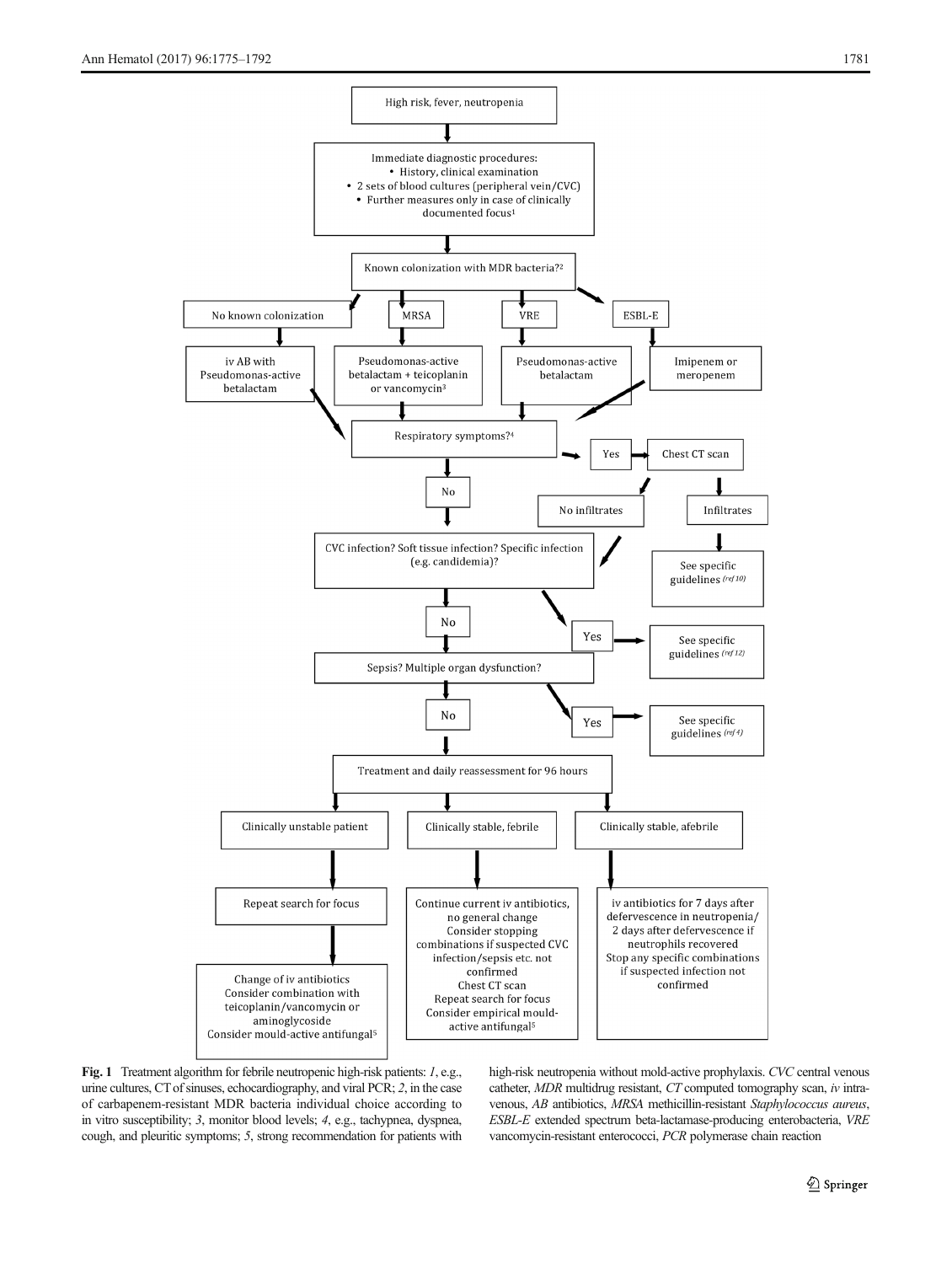<span id="page-6-0"></span>

Fig. 1 Treatment algorithm for febrile neutropenic high-risk patients: 1, e.g., urine cultures, CT of sinuses, echocardiography, and viral PCR; 2, in the case of carbapenem-resistant MDR bacteria individual choice according to in vitro susceptibility; 3, monitor blood levels; 4, e.g., tachypnea, dyspnea, cough, and pleuritic symptoms; 5, strong recommendation for patients with

high-risk neutropenia without mold-active prophylaxis. CVC central venous catheter, MDR multidrug resistant, CT computed tomography scan, iv intravenous, AB antibiotics, MRSA methicillin-resistant Staphylococcus aureus, ESBL-E extended spectrum beta-lactamase-producing enterobacteria, VRE vancomycin-resistant enterococci, PCR polymerase chain reaction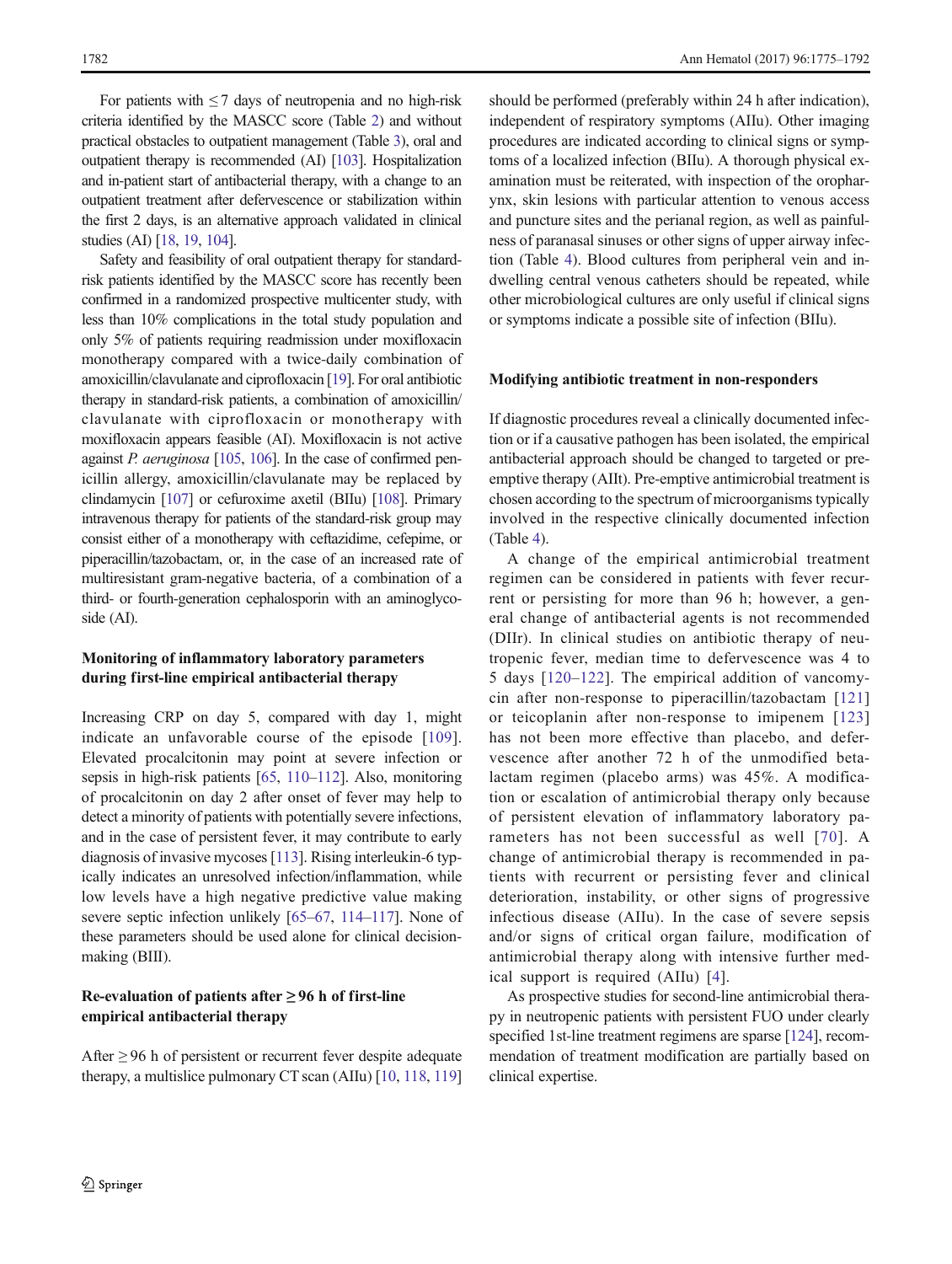For patients with  $\leq$  7 days of neutropenia and no high-risk criteria identified by the MASCC score (Table [2](#page-2-0)) and without practical obstacles to outpatient management (Table [3\)](#page-3-0), oral and outpatient therapy is recommended (AI) [\[103](#page-16-0)]. Hospitalization and in-patient start of antibacterial therapy, with a change to an outpatient treatment after defervescence or stabilization within the first 2 days, is an alternative approach validated in clinical studies (AI) [\[18,](#page-12-0) [19,](#page-12-0) [104\]](#page-16-0).

Safety and feasibility of oral outpatient therapy for standardrisk patients identified by the MASCC score has recently been confirmed in a randomized prospective multicenter study, with less than 10% complications in the total study population and only 5% of patients requiring readmission under moxifloxacin monotherapy compared with a twice-daily combination of amoxicillin/clavulanate and ciprofloxacin [\[19\]](#page-12-0). For oral antibiotic therapy in standard-risk patients, a combination of amoxicillin/ clavulanate with ciprofloxacin or monotherapy with moxifloxacin appears feasible (AI). Moxifloxacin is not active against P. aeruginosa [\[105,](#page-16-0) [106](#page-16-0)]. In the case of confirmed penicillin allergy, amoxicillin/clavulanate may be replaced by clindamycin [\[107\]](#page-16-0) or cefuroxime axetil (BIIu) [\[108](#page-16-0)]. Primary intravenous therapy for patients of the standard-risk group may consist either of a monotherapy with ceftazidime, cefepime, or piperacillin/tazobactam, or, in the case of an increased rate of multiresistant gram-negative bacteria, of a combination of a third- or fourth-generation cephalosporin with an aminoglycoside (AI).

## Monitoring of inflammatory laboratory parameters during first-line empirical antibacterial therapy

Increasing CRP on day 5, compared with day 1, might indicate an unfavorable course of the episode [[109](#page-16-0)]. Elevated procalcitonin may point at severe infection or sepsis in high-risk patients [\[65](#page-14-0), [110](#page-16-0)–[112\]](#page-16-0). Also, monitoring of procalcitonin on day 2 after onset of fever may help to detect a minority of patients with potentially severe infections, and in the case of persistent fever, it may contribute to early diagnosis of invasive mycoses [[113\]](#page-16-0). Rising interleukin-6 typically indicates an unresolved infection/inflammation, while low levels have a high negative predictive value making severe septic infection unlikely [\[65](#page-14-0)–[67,](#page-14-0) [114](#page-16-0)–[117\]](#page-16-0). None of these parameters should be used alone for clinical decisionmaking (BIII).

# Re-evaluation of patients after  $\geq$  96 h of first-line empirical antibacterial therapy

After  $\geq$  96 h of persistent or recurrent fever despite adequate therapy, a multislice pulmonary CT scan (AIIu) [\[10,](#page-12-0) [118,](#page-16-0) [119\]](#page-16-0) should be performed (preferably within 24 h after indication), independent of respiratory symptoms (AIIu). Other imaging procedures are indicated according to clinical signs or symptoms of a localized infection (BIIu). A thorough physical examination must be reiterated, with inspection of the oropharynx, skin lesions with particular attention to venous access and puncture sites and the perianal region, as well as painfulness of paranasal sinuses or other signs of upper airway infection (Table [4](#page-4-0)). Blood cultures from peripheral vein and indwelling central venous catheters should be repeated, while other microbiological cultures are only useful if clinical signs or symptoms indicate a possible site of infection (BIIu).

#### Modifying antibiotic treatment in non-responders

If diagnostic procedures reveal a clinically documented infection or if a causative pathogen has been isolated, the empirical antibacterial approach should be changed to targeted or preemptive therapy (AIIt). Pre-emptive antimicrobial treatment is chosen according to the spectrum of microorganisms typically involved in the respective clinically documented infection (Table [4](#page-4-0)).

A change of the empirical antimicrobial treatment regimen can be considered in patients with fever recurrent or persisting for more than 96 h; however, a general change of antibacterial agents is not recommended (DIIr). In clinical studies on antibiotic therapy of neutropenic fever, median time to defervescence was 4 to 5 days [[120](#page-16-0)–[122](#page-16-0)]. The empirical addition of vancomycin after non-response to piperacillin/tazobactam [\[121](#page-16-0)] or teicoplanin after non-response to imipenem [[123](#page-16-0)] has not been more effective than placebo, and defervescence after another 72 h of the unmodified betalactam regimen (placebo arms) was 45%. A modification or escalation of antimicrobial therapy only because of persistent elevation of inflammatory laboratory parameters has not been successful as well [[70](#page-14-0)]. A change of antimicrobial therapy is recommended in patients with recurrent or persisting fever and clinical deterioration, instability, or other signs of progressive infectious disease (AIIu). In the case of severe sepsis and/or signs of critical organ failure, modification of antimicrobial therapy along with intensive further medical support is required (AIIu) [[4\]](#page-11-0).

As prospective studies for second-line antimicrobial therapy in neutropenic patients with persistent FUO under clearly specified 1st-line treatment regimens are sparse [\[124\]](#page-16-0), recommendation of treatment modification are partially based on clinical expertise.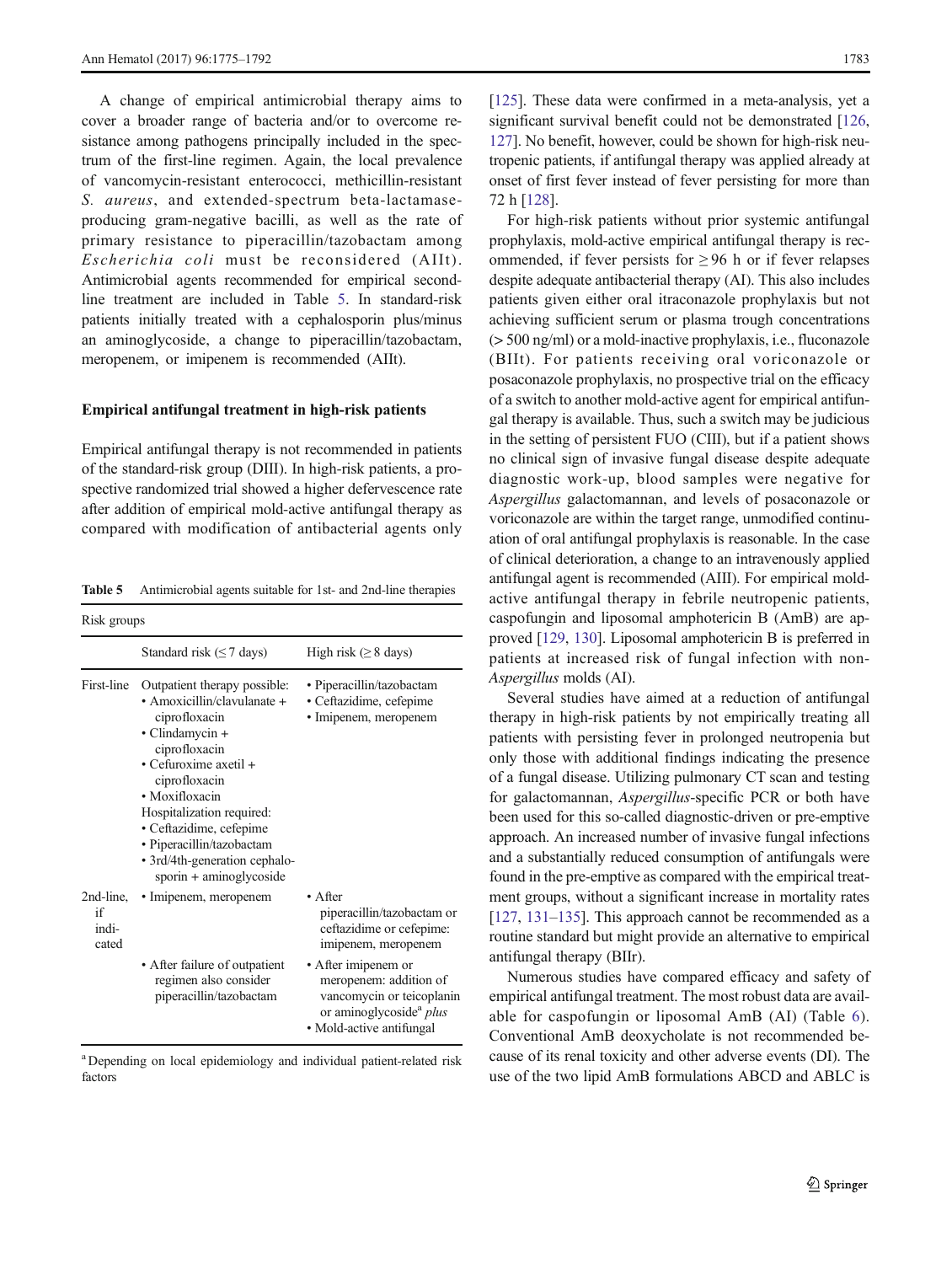A change of empirical antimicrobial therapy aims to cover a broader range of bacteria and/or to overcome resistance among pathogens principally included in the spectrum of the first-line regimen. Again, the local prevalence of vancomycin-resistant enterococci, methicillin-resistant S. aureus, and extended-spectrum beta-lactamaseproducing gram-negative bacilli, as well as the rate of primary resistance to piperacillin/tazobactam among Escherichia coli must be reconsidered (AIIt). Antimicrobial agents recommended for empirical secondline treatment are included in Table 5. In standard-risk patients initially treated with a cephalosporin plus/minus an aminoglycoside, a change to piperacillin/tazobactam, meropenem, or imipenem is recommended (AIIt).

#### Empirical antifungal treatment in high-risk patients

Empirical antifungal therapy is not recommended in patients of the standard-risk group (DIII). In high-risk patients, a prospective randomized trial showed a higher defervescence rate after addition of empirical mold-active antifungal therapy as compared with modification of antibacterial agents only

Table 5 Antimicrobial agents suitable for 1st- and 2nd-line therapies

Risk groups

|                                   | Standard risk $(\leq 7 \text{ days})$                                                                                                                                                                                                                                                                                         | High risk ( $\geq 8$ days)                                                                                                                    |
|-----------------------------------|-------------------------------------------------------------------------------------------------------------------------------------------------------------------------------------------------------------------------------------------------------------------------------------------------------------------------------|-----------------------------------------------------------------------------------------------------------------------------------------------|
| First-line                        | Outpatient therapy possible:<br>• Amoxicillin/clavulanate +<br>ciprofloxacin<br>• Clindamycin +<br>ciprofloxacin<br>· Cefuroxime axetil +<br>ciprofloxacin<br>• Moxifloxacin<br>Hospitalization required:<br>· Ceftazidime, cefepime<br>· Piperacillin/tazobactam<br>· 3rd/4th-generation cephalo-<br>sporin + aminoglycoside | • Piperacillin/tazobactam<br>· Ceftazidime, cefepime<br>· Imipenem, meropenem                                                                 |
| 2nd-line,<br>if<br>indi-<br>cated | • Imipenem, meropenem                                                                                                                                                                                                                                                                                                         | $\bullet$ After<br>piperacillin/tazobactam or<br>ceftazidime or cefepime:<br>imipenem, meropenem                                              |
|                                   | • After failure of outpatient<br>regimen also consider<br>piperacillin/tazobactam                                                                                                                                                                                                                                             | • After imipenem or<br>meropenem: addition of<br>vancomycin or teicoplanin<br>or aminoglycoside <sup>a</sup> plus<br>• Mold-active antifungal |

<sup>a</sup> Depending on local epidemiology and individual patient-related risk factors

[\[125\]](#page-16-0). These data were confirmed in a meta-analysis, yet a significant survival benefit could not be demonstrated [\[126,](#page-16-0) [127\]](#page-17-0). No benefit, however, could be shown for high-risk neutropenic patients, if antifungal therapy was applied already at onset of first fever instead of fever persisting for more than 72 h [\[128](#page-17-0)].

For high-risk patients without prior systemic antifungal prophylaxis, mold-active empirical antifungal therapy is recommended, if fever persists for  $\geq$  96 h or if fever relapses despite adequate antibacterial therapy (AI). This also includes patients given either oral itraconazole prophylaxis but not achieving sufficient serum or plasma trough concentrations (> 500 ng/ml) or a mold-inactive prophylaxis, i.e., fluconazole (BIIt). For patients receiving oral voriconazole or posaconazole prophylaxis, no prospective trial on the efficacy of a switch to another mold-active agent for empirical antifungal therapy is available. Thus, such a switch may be judicious in the setting of persistent FUO (CIII), but if a patient shows no clinical sign of invasive fungal disease despite adequate diagnostic work-up, blood samples were negative for Aspergillus galactomannan, and levels of posaconazole or voriconazole are within the target range, unmodified continuation of oral antifungal prophylaxis is reasonable. In the case of clinical deterioration, a change to an intravenously applied antifungal agent is recommended (AIII). For empirical moldactive antifungal therapy in febrile neutropenic patients, caspofungin and liposomal amphotericin B (AmB) are approved [\[129,](#page-17-0) [130\]](#page-17-0). Liposomal amphotericin B is preferred in patients at increased risk of fungal infection with non-Aspergillus molds (AI).

Several studies have aimed at a reduction of antifungal therapy in high-risk patients by not empirically treating all patients with persisting fever in prolonged neutropenia but only those with additional findings indicating the presence of a fungal disease. Utilizing pulmonary CT scan and testing for galactomannan, Aspergillus-specific PCR or both have been used for this so-called diagnostic-driven or pre-emptive approach. An increased number of invasive fungal infections and a substantially reduced consumption of antifungals were found in the pre-emptive as compared with the empirical treatment groups, without a significant increase in mortality rates [\[127,](#page-17-0) [131](#page-17-0)–[135](#page-17-0)]. This approach cannot be recommended as a routine standard but might provide an alternative to empirical antifungal therapy (BIIr).

Numerous studies have compared efficacy and safety of empirical antifungal treatment. The most robust data are available for caspofungin or liposomal AmB (AI) (Table [6](#page-9-0)). Conventional AmB deoxycholate is not recommended because of its renal toxicity and other adverse events (DI). The use of the two lipid AmB formulations ABCD and ABLC is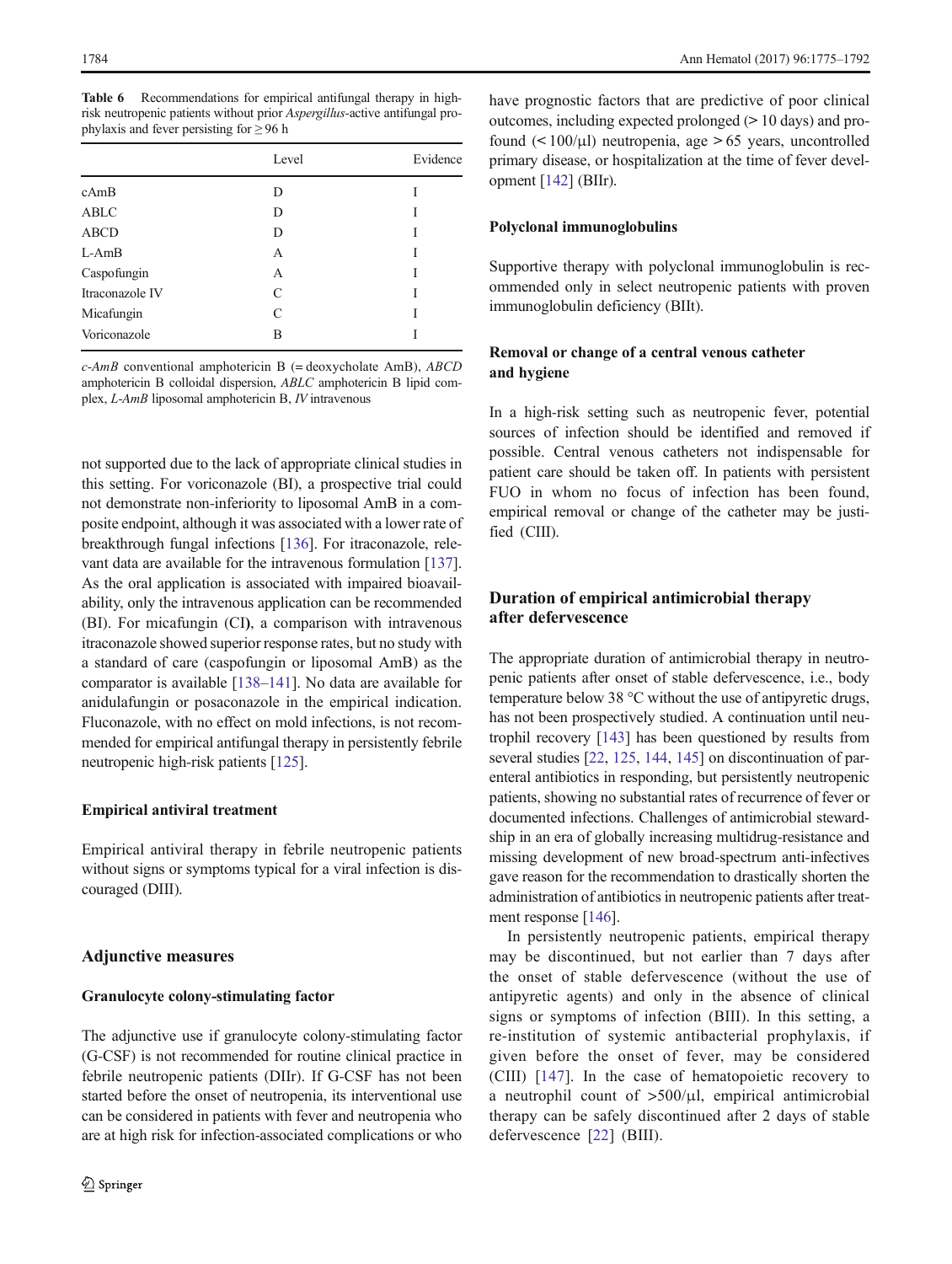<span id="page-9-0"></span>Table 6 Recommendations for empirical antifungal therapy in highrisk neutropenic patients without prior Aspergillus-active antifungal prophylaxis and fever persisting for  $\geq$  96 h

|                 | Level         | Evidence |
|-----------------|---------------|----------|
| cAmB            | D             | I        |
| ABLC            | D             | I        |
| <b>ABCD</b>     | D             | I        |
| $L-AmB$         | A             | I        |
| Caspofungin     | А             | I        |
| Itraconazole IV | C             | T        |
| Micafungin      | $\mathcal{C}$ | T        |
| Voriconazole    | В             | I        |

 $c$ -AmB conventional amphotericin B (= deoxycholate AmB),  $ABCD$ amphotericin B colloidal dispersion, ABLC amphotericin B lipid complex, L-AmB liposomal amphotericin B, IV intravenous

not supported due to the lack of appropriate clinical studies in this setting. For voriconazole (BI), a prospective trial could not demonstrate non-inferiority to liposomal AmB in a composite endpoint, although it was associated with a lower rate of breakthrough fungal infections [[136](#page-17-0)]. For itraconazole, relevant data are available for the intravenous formulation [[137\]](#page-17-0). As the oral application is associated with impaired bioavailability, only the intravenous application can be recommended (BI). For micafungin (CI), a comparison with intravenous itraconazole showed superior response rates, but no study with a standard of care (caspofungin or liposomal AmB) as the comparator is available [\[138](#page-17-0)–[141\]](#page-17-0). No data are available for anidulafungin or posaconazole in the empirical indication. Fluconazole, with no effect on mold infections, is not recommended for empirical antifungal therapy in persistently febrile neutropenic high-risk patients [\[125](#page-16-0)].

#### Empirical antiviral treatment

Empirical antiviral therapy in febrile neutropenic patients without signs or symptoms typical for a viral infection is discouraged (DIII).

#### Adjunctive measures

#### Granulocyte colony-stimulating factor

The adjunctive use if granulocyte colony-stimulating factor (G-CSF) is not recommended for routine clinical practice in febrile neutropenic patients (DIIr). If G-CSF has not been started before the onset of neutropenia, its interventional use can be considered in patients with fever and neutropenia who are at high risk for infection-associated complications or who have prognostic factors that are predictive of poor clinical outcomes, including expected prolonged (> 10 days) and profound  $($ <100/ $\mu$ l) neutropenia, age > 65 years, uncontrolled primary disease, or hospitalization at the time of fever development [\[142\]](#page-17-0) (BIIr).

#### Polyclonal immunoglobulins

Supportive therapy with polyclonal immunoglobulin is recommended only in select neutropenic patients with proven immunoglobulin deficiency (BIIt).

#### Removal or change of a central venous catheter and hygiene

In a high-risk setting such as neutropenic fever, potential sources of infection should be identified and removed if possible. Central venous catheters not indispensable for patient care should be taken off. In patients with persistent FUO in whom no focus of infection has been found, empirical removal or change of the catheter may be justified (CIII).

# Duration of empirical antimicrobial therapy after defervescence

The appropriate duration of antimicrobial therapy in neutropenic patients after onset of stable defervescence, i.e., body temperature below 38 °C without the use of antipyretic drugs, has not been prospectively studied. A continuation until neutrophil recovery [\[143](#page-17-0)] has been questioned by results from several studies [[22](#page-13-0), [125](#page-16-0), [144,](#page-17-0) [145\]](#page-17-0) on discontinuation of parenteral antibiotics in responding, but persistently neutropenic patients, showing no substantial rates of recurrence of fever or documented infections. Challenges of antimicrobial stewardship in an era of globally increasing multidrug-resistance and missing development of new broad-spectrum anti-infectives gave reason for the recommendation to drastically shorten the administration of antibiotics in neutropenic patients after treatment response [[146\]](#page-17-0).

In persistently neutropenic patients, empirical therapy may be discontinued, but not earlier than 7 days after the onset of stable defervescence (without the use of antipyretic agents) and only in the absence of clinical signs or symptoms of infection (BIII). In this setting, a re-institution of systemic antibacterial prophylaxis, if given before the onset of fever, may be considered (CIII) [\[147\]](#page-17-0). In the case of hematopoietic recovery to a neutrophil count of >500/μl, empirical antimicrobial therapy can be safely discontinued after 2 days of stable defervescence [[22](#page-13-0)] (BIII).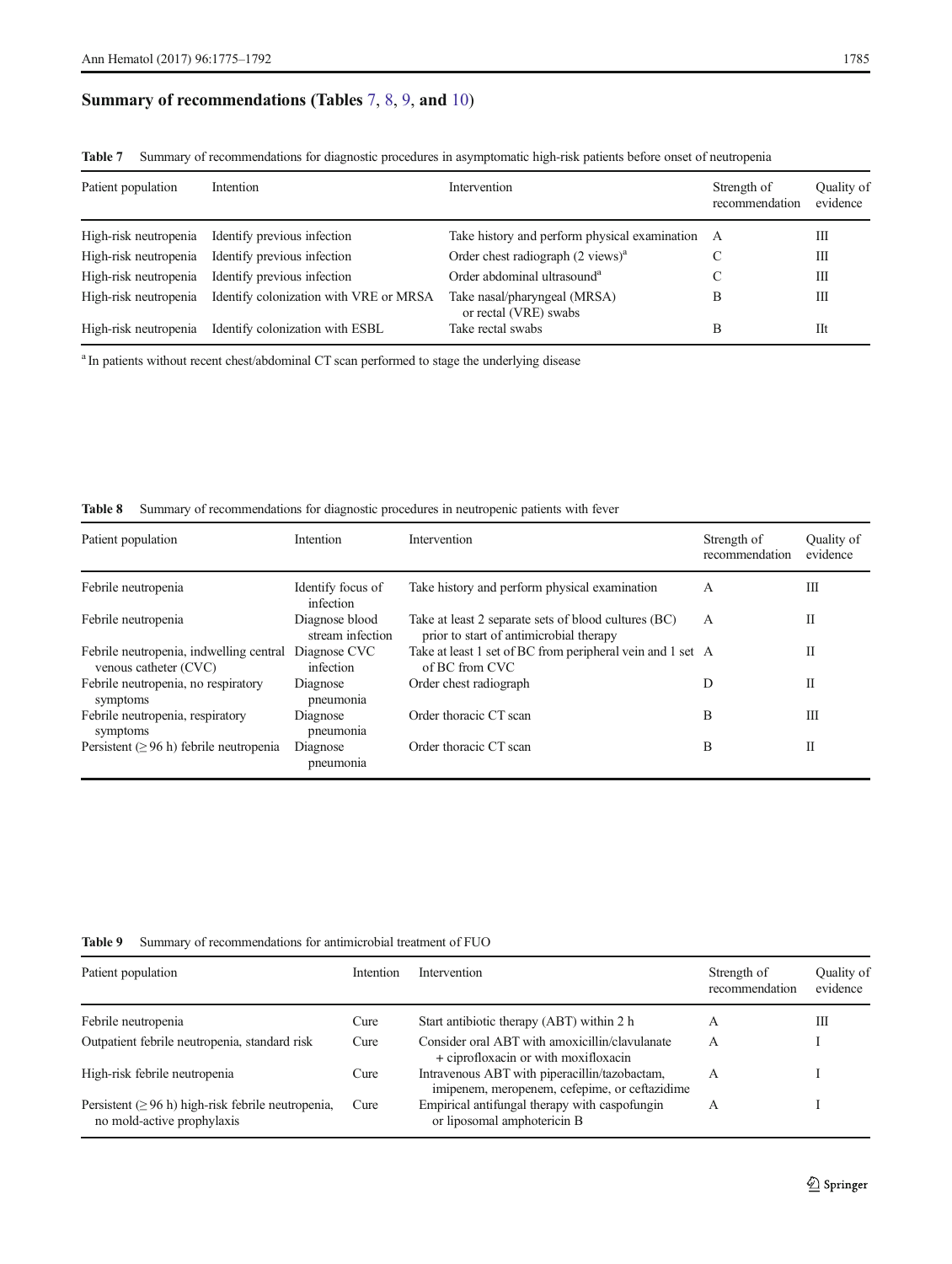# Summary of recommendations (Tables 7, 8, 9, and [10](#page-11-0))

Table 7 Summary of recommendations for diagnostic procedures in asymptomatic high-risk patients before onset of neutropenia

| Patient population    | Intention                                                    | Intervention                                          | Strength of<br>recommendation | Ouality of<br>evidence |
|-----------------------|--------------------------------------------------------------|-------------------------------------------------------|-------------------------------|------------------------|
|                       | High-risk neutropenia Identify previous infection            | Take history and perform physical examination A       |                               | Ш                      |
|                       | High-risk neutropenia Identify previous infection            | Order chest radiograph $(2 \text{ views})^a$          | C                             | Ш                      |
|                       | High-risk neutropenia Identify previous infection            | Order abdominal ultrasound <sup>a</sup>               | C                             | Ш                      |
|                       | High-risk neutropenia Identify colonization with VRE or MRSA | Take nasal/pharyngeal (MRSA)<br>or rectal (VRE) swabs | В                             | Ш                      |
| High-risk neutropenia | Identify colonization with ESBL                              | Take rectal swabs                                     | В                             | Πt                     |

<sup>a</sup> In patients without recent chest/abdominal CT scan performed to stage the underlying disease

Table 8 Summary of recommendations for diagnostic procedures in neutropenic patients with fever

| Patient population                                               | Intention                          | Intervention                                                                                    | Strength of<br>recommendation | Quality of<br>evidence |
|------------------------------------------------------------------|------------------------------------|-------------------------------------------------------------------------------------------------|-------------------------------|------------------------|
| Febrile neutropenia                                              | Identify focus of<br>infection     | Take history and perform physical examination                                                   | A                             | Ш                      |
| Febrile neutropenia                                              | Diagnose blood<br>stream infection | Take at least 2 separate sets of blood cultures (BC)<br>prior to start of antimicrobial therapy | A                             | П                      |
| Febrile neutropenia, indwelling central<br>venous catheter (CVC) | Diagnose CVC<br>infection          | Take at least 1 set of BC from peripheral vein and 1 set A<br>of BC from CVC                    |                               | П                      |
| Febrile neutropenia, no respiratory<br>symptoms                  | Diagnose<br>pneumonia              | Order chest radiograph                                                                          | D                             | П                      |
| Febrile neutropenia, respiratory<br>symptoms                     | Diagnose<br>pneumonia              | Order thoracic CT scan                                                                          | B                             | Ш                      |
| Persistent ( $\geq$ 96 h) febrile neutropenia                    | Diagnose<br>pneumonia              | Order thoracic CT scan                                                                          | B                             | П                      |

Table 9 Summary of recommendations for antimicrobial treatment of FUO

| Patient population                                                                             | Intention | Intervention                                                                                   | Strength of<br>recommendation | <b>Ouality</b> of<br>evidence |
|------------------------------------------------------------------------------------------------|-----------|------------------------------------------------------------------------------------------------|-------------------------------|-------------------------------|
| Febrile neutropenia                                                                            | Cure      | Start antibiotic therapy (ABT) within 2 h                                                      | A                             | Ш                             |
| Outpatient febrile neutropenia, standard risk                                                  | Cure      | Consider oral ABT with amoxicillin/clavulanate<br>+ ciprofloxacin or with moxifloxacin         | A                             |                               |
| High-risk febrile neutropenia                                                                  | Cure      | Intravenous ABT with piperacillin/tazobactam,<br>imipenem, meropenem, cefepime, or ceftazidime | А                             |                               |
| Persistent $( \geq 96 \text{ h})$ high-risk febrile neutropenia,<br>no mold-active prophylaxis | Cure      | Empirical antifungal therapy with caspofungin<br>or liposomal amphotericin B                   | А                             |                               |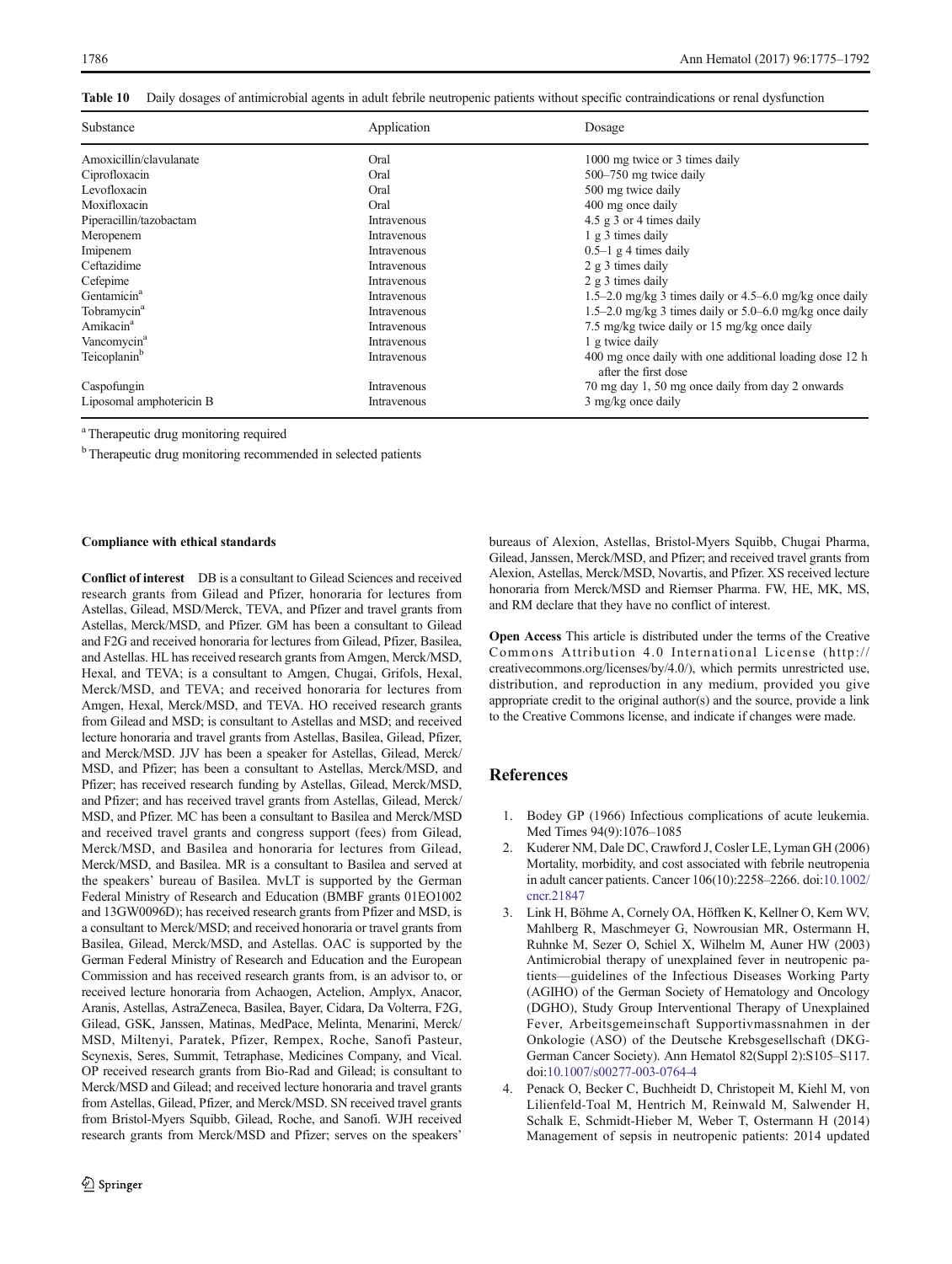<span id="page-11-0"></span>Table 10 Daily dosages of antimicrobial agents in adult febrile neutropenic patients without specific contraindications or renal dysfunction

| Substance                | Application | Dosage                                                                          |
|--------------------------|-------------|---------------------------------------------------------------------------------|
| Amoxicillin/clavulanate  | Oral        | 1000 mg twice or 3 times daily                                                  |
| Ciprofloxacin            | Oral        | 500–750 mg twice daily                                                          |
| Levofloxacin             | Oral        | 500 mg twice daily                                                              |
| Moxifloxacin             | Oral        | 400 mg once daily                                                               |
| Piperacillin/tazobactam  | Intravenous | 4.5 $g$ 3 or 4 times daily                                                      |
| Meropenem                | Intravenous | 1 g 3 times daily                                                               |
| Imipenem                 | Intravenous | $0.5-1$ g 4 times daily                                                         |
| Ceftazidime              | Intravenous | 2 g 3 times daily                                                               |
| Cefepime                 | Intravenous | 2 g 3 times daily                                                               |
| Gentamicin <sup>a</sup>  | Intravenous | 1.5–2.0 mg/kg 3 times daily or 4.5–6.0 mg/kg once daily                         |
| Tobramycin <sup>a</sup>  | Intravenous | 1.5–2.0 mg/kg 3 times daily or $5.0-6.0$ mg/kg once daily                       |
| Amikacin <sup>a</sup>    | Intravenous | 7.5 mg/kg twice daily or 15 mg/kg once daily                                    |
| Vancomycin <sup>a</sup>  | Intravenous | 1 g twice daily                                                                 |
| Teicoplanin <sup>b</sup> | Intravenous | 400 mg once daily with one additional loading dose 12 h<br>after the first dose |
| Caspofungin              | Intravenous | 70 mg day 1, 50 mg once daily from day 2 onwards                                |
| Liposomal amphotericin B | Intravenous | 3 mg/kg once daily                                                              |

<sup>a</sup> Therapeutic drug monitoring required

<sup>b</sup> Therapeutic drug monitoring recommended in selected patients

#### Compliance with ethical standards

Conflict of interest DB is a consultant to Gilead Sciences and received research grants from Gilead and Pfizer, honoraria for lectures from Astellas, Gilead, MSD/Merck, TEVA, and Pfizer and travel grants from Astellas, Merck/MSD, and Pfizer. GM has been a consultant to Gilead and F2G and received honoraria for lectures from Gilead, Pfizer, Basilea, and Astellas. HL has received research grants from Amgen, Merck/MSD, Hexal, and TEVA; is a consultant to Amgen, Chugai, Grifols, Hexal, Merck/MSD, and TEVA; and received honoraria for lectures from Amgen, Hexal, Merck/MSD, and TEVA. HO received research grants from Gilead and MSD; is consultant to Astellas and MSD; and received lecture honoraria and travel grants from Astellas, Basilea, Gilead, Pfizer, and Merck/MSD. JJV has been a speaker for Astellas, Gilead, Merck/ MSD, and Pfizer; has been a consultant to Astellas, Merck/MSD, and Pfizer; has received research funding by Astellas, Gilead, Merck/MSD, and Pfizer; and has received travel grants from Astellas, Gilead, Merck/ MSD, and Pfizer. MC has been a consultant to Basilea and Merck/MSD and received travel grants and congress support (fees) from Gilead, Merck/MSD, and Basilea and honoraria for lectures from Gilead, Merck/MSD, and Basilea. MR is a consultant to Basilea and served at the speakers' bureau of Basilea. MvLT is supported by the German Federal Ministry of Research and Education (BMBF grants 01EO1002 and 13GW0096D); has received research grants from Pfizer and MSD, is a consultant to Merck/MSD; and received honoraria or travel grants from Basilea, Gilead, Merck/MSD, and Astellas. OAC is supported by the German Federal Ministry of Research and Education and the European Commission and has received research grants from, is an advisor to, or received lecture honoraria from Achaogen, Actelion, Amplyx, Anacor, Aranis, Astellas, AstraZeneca, Basilea, Bayer, Cidara, Da Volterra, F2G, Gilead, GSK, Janssen, Matinas, MedPace, Melinta, Menarini, Merck/ MSD, Miltenyi, Paratek, Pfizer, Rempex, Roche, Sanofi Pasteur, Scynexis, Seres, Summit, Tetraphase, Medicines Company, and Vical. OP received research grants from Bio-Rad and Gilead; is consultant to Merck/MSD and Gilead; and received lecture honoraria and travel grants from Astellas, Gilead, Pfizer, and Merck/MSD. SN received travel grants from Bristol-Myers Squibb, Gilead, Roche, and Sanofi. WJH received research grants from Merck/MSD and Pfizer; serves on the speakers'

bureaus of Alexion, Astellas, Bristol-Myers Squibb, Chugai Pharma, Gilead, Janssen, Merck/MSD, and Pfizer; and received travel grants from Alexion, Astellas, Merck/MSD, Novartis, and Pfizer. XS received lecture honoraria from Merck/MSD and Riemser Pharma. FW, HE, MK, MS, and RM declare that they have no conflict of interest.

Open Access This article is distributed under the terms of the Creative Commons Attribution 4.0 International License (http:// creativecommons.org/licenses/by/4.0/), which permits unrestricted use, distribution, and reproduction in any medium, provided you give appropriate credit to the original author(s) and the source, provide a link to the Creative Commons license, and indicate if changes were made.

#### **References**

- 1. Bodey GP (1966) Infectious complications of acute leukemia. Med Times 94(9):1076–1085
- 2. Kuderer NM, Dale DC, Crawford J, Cosler LE, Lyman GH (2006) Mortality, morbidity, and cost associated with febrile neutropenia in adult cancer patients. Cancer 106(10):2258–2266. doi[:10.1002/](http://dx.doi.org/10.1002/cncr.21847) [cncr.21847](http://dx.doi.org/10.1002/cncr.21847)
- 3. Link H, Böhme A, Cornely OA, Höffken K, Kellner O, Kern WV, Mahlberg R, Maschmeyer G, Nowrousian MR, Ostermann H, Ruhnke M, Sezer O, Schiel X, Wilhelm M, Auner HW (2003) Antimicrobial therapy of unexplained fever in neutropenic patients—guidelines of the Infectious Diseases Working Party (AGIHO) of the German Society of Hematology and Oncology (DGHO), Study Group Interventional Therapy of Unexplained Fever, Arbeitsgemeinschaft Supportivmassnahmen in der Onkologie (ASO) of the Deutsche Krebsgesellschaft (DKG-German Cancer Society). Ann Hematol 82(Suppl 2):S105–S117. doi[:10.1007/s00277-003-0764-4](http://dx.doi.org/10.1007/s00277-003-0764-4)
- 4. Penack O, Becker C, Buchheidt D, Christopeit M, Kiehl M, von Lilienfeld-Toal M, Hentrich M, Reinwald M, Salwender H, Schalk E, Schmidt-Hieber M, Weber T, Ostermann H (2014) Management of sepsis in neutropenic patients: 2014 updated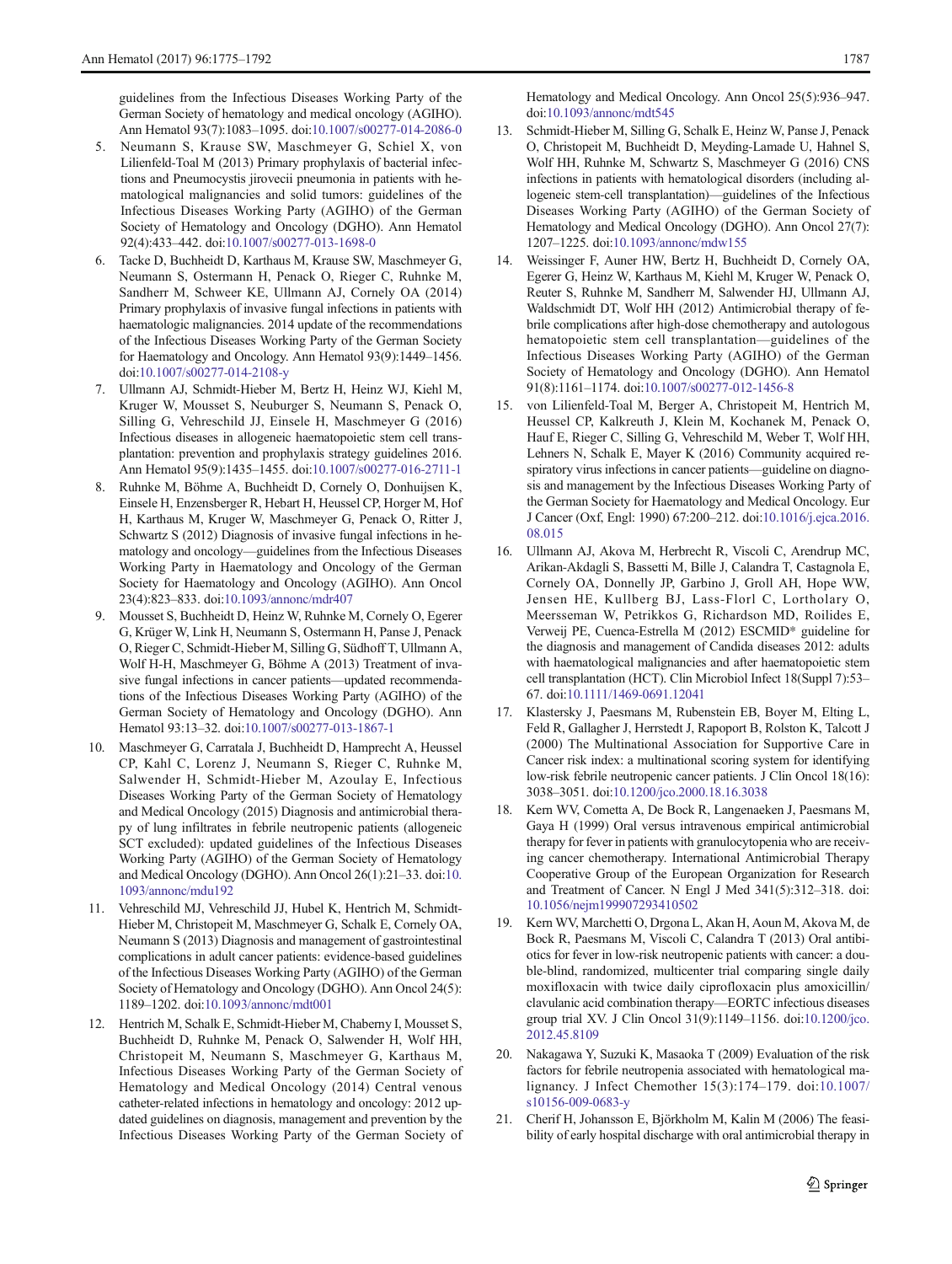<span id="page-12-0"></span>guidelines from the Infectious Diseases Working Party of the German Society of hematology and medical oncology (AGIHO). Ann Hematol 93(7):1083–1095. doi[:10.1007/s00277-014-2086-0](http://dx.doi.org/10.1007/s00277-014-2086-0)

- 5. Neumann S, Krause SW, Maschmeyer G, Schiel X, von Lilienfeld-Toal M (2013) Primary prophylaxis of bacterial infections and Pneumocystis jirovecii pneumonia in patients with hematological malignancies and solid tumors: guidelines of the Infectious Diseases Working Party (AGIHO) of the German Society of Hematology and Oncology (DGHO). Ann Hematol 92(4):433–442. doi[:10.1007/s00277-013-1698-0](http://dx.doi.org/10.1007/s00277-013-1698-0)
- 6. Tacke D, Buchheidt D, Karthaus M, Krause SW, Maschmeyer G, Neumann S, Ostermann H, Penack O, Rieger C, Ruhnke M, Sandherr M, Schweer KE, Ullmann AJ, Cornely OA (2014) Primary prophylaxis of invasive fungal infections in patients with haematologic malignancies. 2014 update of the recommendations of the Infectious Diseases Working Party of the German Society for Haematology and Oncology. Ann Hematol 93(9):1449–1456. doi[:10.1007/s00277-014-2108-y](http://dx.doi.org/10.1007/s00277-014-2108-y)
- 7. Ullmann AJ, Schmidt-Hieber M, Bertz H, Heinz WJ, Kiehl M, Kruger W, Mousset S, Neuburger S, Neumann S, Penack O, Silling G, Vehreschild JJ, Einsele H, Maschmeyer G (2016) Infectious diseases in allogeneic haematopoietic stem cell transplantation: prevention and prophylaxis strategy guidelines 2016. Ann Hematol 95(9):1435–1455. doi[:10.1007/s00277-016-2711-1](http://dx.doi.org/10.1007/s00277-016-2711-1)
- 8. Ruhnke M, Böhme A, Buchheidt D, Cornely O, Donhuijsen K, Einsele H, Enzensberger R, Hebart H, Heussel CP, Horger M, Hof H, Karthaus M, Kruger W, Maschmeyer G, Penack O, Ritter J, Schwartz S (2012) Diagnosis of invasive fungal infections in hematology and oncology—guidelines from the Infectious Diseases Working Party in Haematology and Oncology of the German Society for Haematology and Oncology (AGIHO). Ann Oncol 23(4):823–833. doi[:10.1093/annonc/mdr407](http://dx.doi.org/10.1093/annonc/mdr407)
- 9. Mousset S, Buchheidt D, Heinz W, Ruhnke M, Cornely O, Egerer G, Krüger W, Link H, Neumann S, Ostermann H, Panse J, Penack O, Rieger C, Schmidt-Hieber M, Silling G, Südhoff T, Ullmann A, Wolf H-H, Maschmeyer G, Böhme A (2013) Treatment of invasive fungal infections in cancer patients—updated recommendations of the Infectious Diseases Working Party (AGIHO) of the German Society of Hematology and Oncology (DGHO). Ann Hematol 93:13–32. doi[:10.1007/s00277-013-1867-1](http://dx.doi.org/10.1007/s00277-013-1867-1)
- 10. Maschmeyer G, Carratala J, Buchheidt D, Hamprecht A, Heussel CP, Kahl C, Lorenz J, Neumann S, Rieger C, Ruhnke M, Salwender H, Schmidt-Hieber M, Azoulay E, Infectious Diseases Working Party of the German Society of Hematology and Medical Oncology (2015) Diagnosis and antimicrobial therapy of lung infiltrates in febrile neutropenic patients (allogeneic SCT excluded): updated guidelines of the Infectious Diseases Working Party (AGIHO) of the German Society of Hematology and Medical Oncology (DGHO). Ann Oncol 26(1):21–33. doi:[10.](http://dx.doi.org/10.1093/annonc/mdu192) [1093/annonc/mdu192](http://dx.doi.org/10.1093/annonc/mdu192)
- 11. Vehreschild MJ, Vehreschild JJ, Hubel K, Hentrich M, Schmidt-Hieber M, Christopeit M, Maschmeyer G, Schalk E, Cornely OA, Neumann S (2013) Diagnosis and management of gastrointestinal complications in adult cancer patients: evidence-based guidelines of the Infectious Diseases Working Party (AGIHO) of the German Society of Hematology and Oncology (DGHO). Ann Oncol 24(5): 1189–1202. doi[:10.1093/annonc/mdt001](http://dx.doi.org/10.1093/annonc/mdt001)
- 12. Hentrich M, Schalk E, Schmidt-Hieber M, Chaberny I, Mousset S, Buchheidt D, Ruhnke M, Penack O, Salwender H, Wolf HH, Christopeit M, Neumann S, Maschmeyer G, Karthaus M, Infectious Diseases Working Party of the German Society of Hematology and Medical Oncology (2014) Central venous catheter-related infections in hematology and oncology: 2012 updated guidelines on diagnosis, management and prevention by the Infectious Diseases Working Party of the German Society of

Hematology and Medical Oncology. Ann Oncol 25(5):936–947. doi[:10.1093/annonc/mdt545](http://dx.doi.org/10.1093/annonc/mdt545)

- 13. Schmidt-Hieber M, Silling G, Schalk E, Heinz W, Panse J, Penack O, Christopeit M, Buchheidt D, Meyding-Lamade U, Hahnel S, Wolf HH, Ruhnke M, Schwartz S, Maschmeyer G (2016) CNS infections in patients with hematological disorders (including allogeneic stem-cell transplantation)—guidelines of the Infectious Diseases Working Party (AGIHO) of the German Society of Hematology and Medical Oncology (DGHO). Ann Oncol 27(7): 1207–1225. doi:[10.1093/annonc/mdw155](http://dx.doi.org/10.1093/annonc/mdw155)
- Weissinger F, Auner HW, Bertz H, Buchheidt D, Cornely OA, Egerer G, Heinz W, Karthaus M, Kiehl M, Kruger W, Penack O, Reuter S, Ruhnke M, Sandherr M, Salwender HJ, Ullmann AJ, Waldschmidt DT, Wolf HH (2012) Antimicrobial therapy of febrile complications after high-dose chemotherapy and autologous hematopoietic stem cell transplantation—guidelines of the Infectious Diseases Working Party (AGIHO) of the German Society of Hematology and Oncology (DGHO). Ann Hematol 91(8):1161–1174. doi[:10.1007/s00277-012-1456-8](http://dx.doi.org/10.1007/s00277-012-1456-8)
- 15. von Lilienfeld-Toal M, Berger A, Christopeit M, Hentrich M, Heussel CP, Kalkreuth J, Klein M, Kochanek M, Penack O, Hauf E, Rieger C, Silling G, Vehreschild M, Weber T, Wolf HH, Lehners N, Schalk E, Mayer K (2016) Community acquired respiratory virus infections in cancer patients—guideline on diagnosis and management by the Infectious Diseases Working Party of the German Society for Haematology and Medical Oncology. Eur J Cancer (Oxf, Engl: 1990) 67:200–212. doi[:10.1016/j.ejca.2016.](http://dx.doi.org/10.1016/j.ejca.2016.08.015) [08.015](http://dx.doi.org/10.1016/j.ejca.2016.08.015)
- 16. Ullmann AJ, Akova M, Herbrecht R, Viscoli C, Arendrup MC, Arikan-Akdagli S, Bassetti M, Bille J, Calandra T, Castagnola E, Cornely OA, Donnelly JP, Garbino J, Groll AH, Hope WW, Jensen HE, Kullberg BJ, Lass-Florl C, Lortholary O, Meersseman W, Petrikkos G, Richardson MD, Roilides E, Verweij PE, Cuenca-Estrella M (2012) ESCMID\* guideline for the diagnosis and management of Candida diseases 2012: adults with haematological malignancies and after haematopoietic stem cell transplantation (HCT). Clin Microbiol Infect 18(Suppl 7):53– 67. doi:[10.1111/1469-0691.12041](http://dx.doi.org/10.1111/1469-0691.12041)
- 17. Klastersky J, Paesmans M, Rubenstein EB, Boyer M, Elting L, Feld R, Gallagher J, Herrstedt J, Rapoport B, Rolston K, Talcott J (2000) The Multinational Association for Supportive Care in Cancer risk index: a multinational scoring system for identifying low-risk febrile neutropenic cancer patients. J Clin Oncol 18(16): 3038–3051. doi:[10.1200/jco.2000.18.16.3038](http://dx.doi.org/10.1200/jco.2000.18.16.3038)
- 18. Kern WV, Cometta A, De Bock R, Langenaeken J, Paesmans M, Gaya H (1999) Oral versus intravenous empirical antimicrobial therapy for fever in patients with granulocytopenia who are receiving cancer chemotherapy. International Antimicrobial Therapy Cooperative Group of the European Organization for Research and Treatment of Cancer. N Engl J Med 341(5):312–318. doi: [10.1056/nejm199907293410502](http://dx.doi.org/10.1056/nejm199907293410502)
- 19. Kern WV, Marchetti O, Drgona L, Akan H, Aoun M, Akova M, de Bock R, Paesmans M, Viscoli C, Calandra T (2013) Oral antibiotics for fever in low-risk neutropenic patients with cancer: a double-blind, randomized, multicenter trial comparing single daily moxifloxacin with twice daily ciprofloxacin plus amoxicillin/ clavulanic acid combination therapy—EORTC infectious diseases group trial XV. J Clin Oncol 31(9):1149–1156. doi[:10.1200/jco.](http://dx.doi.org/10.1200/jco.2012.45.8109) [2012.45.8109](http://dx.doi.org/10.1200/jco.2012.45.8109)
- 20. Nakagawa Y, Suzuki K, Masaoka T (2009) Evaluation of the risk factors for febrile neutropenia associated with hematological malignancy. J Infect Chemother 15(3):174–179. doi:[10.1007/](http://dx.doi.org/10.1007/s10156-009-0683-y) [s10156-009-0683-y](http://dx.doi.org/10.1007/s10156-009-0683-y)
- 21. Cherif H, Johansson E, Björkholm M, Kalin M (2006) The feasibility of early hospital discharge with oral antimicrobial therapy in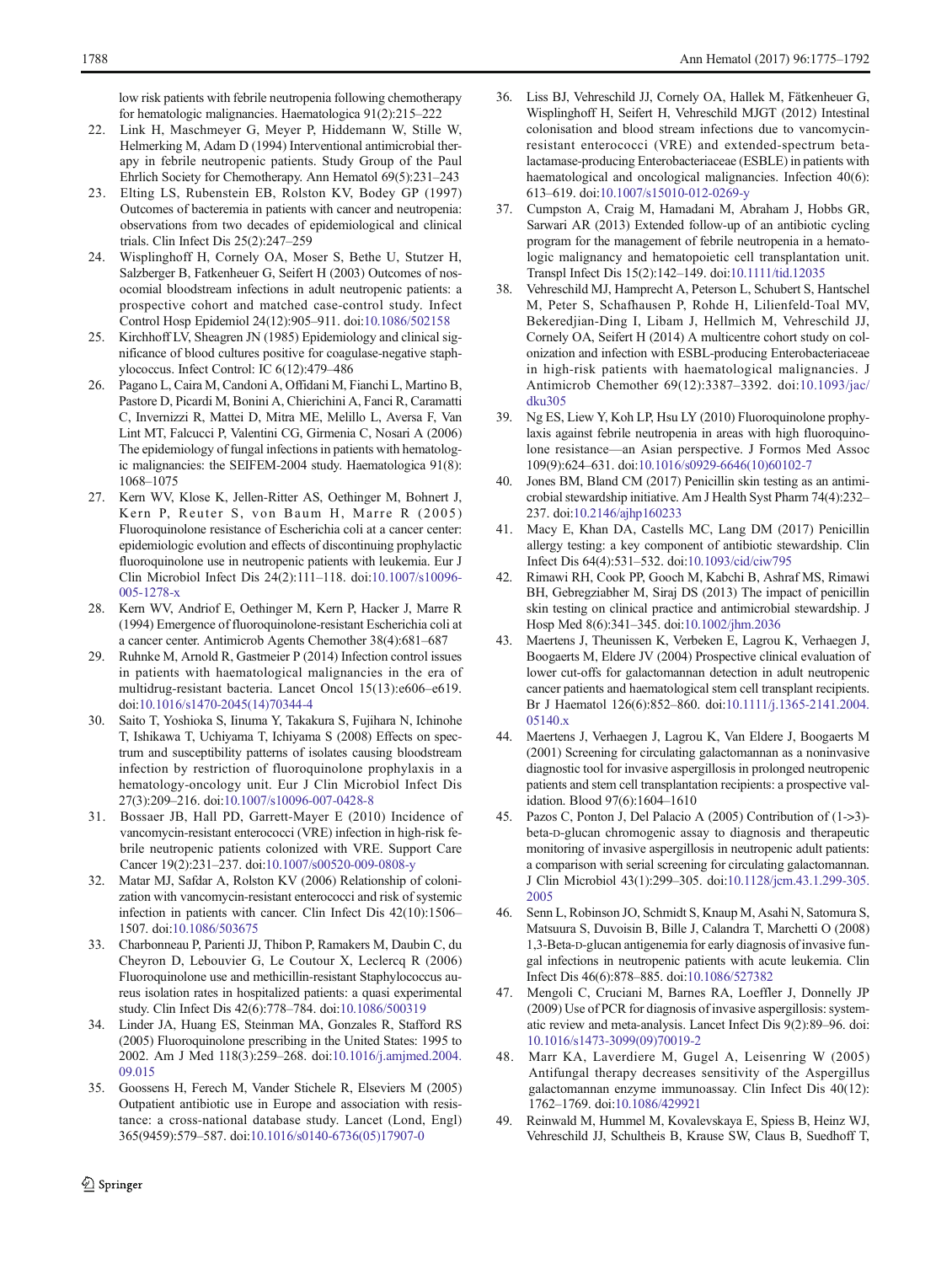<span id="page-13-0"></span>low risk patients with febrile neutropenia following chemotherapy for hematologic malignancies. Haematologica 91(2):215–222

- 22. Link H, Maschmeyer G, Meyer P, Hiddemann W, Stille W, Helmerking M, Adam D (1994) Interventional antimicrobial therapy in febrile neutropenic patients. Study Group of the Paul Ehrlich Society for Chemotherapy. Ann Hematol 69(5):231–243
- 23. Elting LS, Rubenstein EB, Rolston KV, Bodey GP (1997) Outcomes of bacteremia in patients with cancer and neutropenia: observations from two decades of epidemiological and clinical trials. Clin Infect Dis 25(2):247–259
- 24. Wisplinghoff H, Cornely OA, Moser S, Bethe U, Stutzer H, Salzberger B, Fatkenheuer G, Seifert H (2003) Outcomes of nosocomial bloodstream infections in adult neutropenic patients: a prospective cohort and matched case-control study. Infect Control Hosp Epidemiol 24(12):905–911. doi:[10.1086/502158](http://dx.doi.org/10.1086/502158)
- 25. Kirchhoff LV, Sheagren JN (1985) Epidemiology and clinical significance of blood cultures positive for coagulase-negative staphylococcus. Infect Control: IC 6(12):479–486
- 26. Pagano L, Caira M, Candoni A, Offidani M, Fianchi L, Martino B, Pastore D, Picardi M, Bonini A, Chierichini A, Fanci R, Caramatti C, Invernizzi R, Mattei D, Mitra ME, Melillo L, Aversa F, Van Lint MT, Falcucci P, Valentini CG, Girmenia C, Nosari A (2006) The epidemiology of fungal infections in patients with hematologic malignancies: the SEIFEM-2004 study. Haematologica 91(8): 1068–1075
- 27. Kern WV, Klose K, Jellen-Ritter AS, Oethinger M, Bohnert J, Kern P, Reuter S, von Baum H, Marre R (2005) Fluoroquinolone resistance of Escherichia coli at a cancer center: epidemiologic evolution and effects of discontinuing prophylactic fluoroquinolone use in neutropenic patients with leukemia. Eur J Clin Microbiol Infect Dis 24(2):111–118. doi:[10.1007/s10096-](http://dx.doi.org/10.1007/s10096-005-1278-x) [005-1278-x](http://dx.doi.org/10.1007/s10096-005-1278-x)
- 28. Kern WV, Andriof E, Oethinger M, Kern P, Hacker J, Marre R (1994) Emergence of fluoroquinolone-resistant Escherichia coli at a cancer center. Antimicrob Agents Chemother 38(4):681–687
- 29. Ruhnke M, Arnold R, Gastmeier P (2014) Infection control issues in patients with haematological malignancies in the era of multidrug-resistant bacteria. Lancet Oncol 15(13):e606–e619. doi[:10.1016/s1470-2045\(14\)70344-4](http://dx.doi.org/10.1016/s1470-2045(14)70344-4)
- 30. Saito T, Yoshioka S, Iinuma Y, Takakura S, Fujihara N, Ichinohe T, Ishikawa T, Uchiyama T, Ichiyama S (2008) Effects on spectrum and susceptibility patterns of isolates causing bloodstream infection by restriction of fluoroquinolone prophylaxis in a hematology-oncology unit. Eur J Clin Microbiol Infect Dis 27(3):209–216. doi[:10.1007/s10096-007-0428-8](http://dx.doi.org/10.1007/s10096-007-0428-8)
- 31. Bossaer JB, Hall PD, Garrett-Mayer E (2010) Incidence of vancomycin-resistant enterococci (VRE) infection in high-risk febrile neutropenic patients colonized with VRE. Support Care Cancer 19(2):231–237. doi[:10.1007/s00520-009-0808-y](http://dx.doi.org/10.1007/s00520-009-0808-y)
- 32. Matar MJ, Safdar A, Rolston KV (2006) Relationship of colonization with vancomycin-resistant enterococci and risk of systemic infection in patients with cancer. Clin Infect Dis 42(10):1506– 1507. doi[:10.1086/503675](http://dx.doi.org/10.1086/503675)
- 33. Charbonneau P, Parienti JJ, Thibon P, Ramakers M, Daubin C, du Cheyron D, Lebouvier G, Le Coutour X, Leclercq R (2006) Fluoroquinolone use and methicillin-resistant Staphylococcus aureus isolation rates in hospitalized patients: a quasi experimental study. Clin Infect Dis 42(6):778–784. doi:[10.1086/500319](http://dx.doi.org/10.1086/500319)
- 34. Linder JA, Huang ES, Steinman MA, Gonzales R, Stafford RS (2005) Fluoroquinolone prescribing in the United States: 1995 to 2002. Am J Med 118(3):259–268. doi[:10.1016/j.amjmed.2004.](http://dx.doi.org/10.1016/j.amjmed.2004.09.015) [09.015](http://dx.doi.org/10.1016/j.amjmed.2004.09.015)
- 35. Goossens H, Ferech M, Vander Stichele R, Elseviers M (2005) Outpatient antibiotic use in Europe and association with resistance: a cross-national database study. Lancet (Lond, Engl) 365(9459):579–587. doi:[10.1016/s0140-6736\(05\)17907-0](http://dx.doi.org/10.1016/s0140-6736(05)17907-0)
- 36. Liss BJ, Vehreschild JJ, Cornely OA, Hallek M, Fätkenheuer G, Wisplinghoff H, Seifert H, Vehreschild MJGT (2012) Intestinal colonisation and blood stream infections due to vancomycinresistant enterococci (VRE) and extended-spectrum betalactamase-producing Enterobacteriaceae (ESBLE) in patients with haematological and oncological malignancies. Infection 40(6): 613–619. doi[:10.1007/s15010-012-0269-y](http://dx.doi.org/10.1007/s15010-012-0269-y)
- 37. Cumpston A, Craig M, Hamadani M, Abraham J, Hobbs GR, Sarwari AR (2013) Extended follow-up of an antibiotic cycling program for the management of febrile neutropenia in a hematologic malignancy and hematopoietic cell transplantation unit. Transpl Infect Dis 15(2):142–149. doi[:10.1111/tid.12035](http://dx.doi.org/10.1111/tid.12035)
- 38. Vehreschild MJ, Hamprecht A, Peterson L, Schubert S, Hantschel M, Peter S, Schafhausen P, Rohde H, Lilienfeld-Toal MV, Bekeredjian-Ding I, Libam J, Hellmich M, Vehreschild JJ, Cornely OA, Seifert H (2014) A multicentre cohort study on colonization and infection with ESBL-producing Enterobacteriaceae in high-risk patients with haematological malignancies. J Antimicrob Chemother 69(12):3387–3392. doi:[10.1093/jac/](http://dx.doi.org/10.1093/jac/dku305) [dku305](http://dx.doi.org/10.1093/jac/dku305)
- 39. Ng ES, Liew Y, Koh LP, Hsu LY (2010) Fluoroquinolone prophylaxis against febrile neutropenia in areas with high fluoroquinolone resistance—an Asian perspective. J Formos Med Assoc 109(9):624–631. doi[:10.1016/s0929-6646\(10\)60102-7](http://dx.doi.org/10.1016/s0929-6646(10)60102-7)
- 40. Jones BM, Bland CM (2017) Penicillin skin testing as an antimicrobial stewardship initiative. Am J Health Syst Pharm 74(4):232– 237. doi[:10.2146/ajhp160233](http://dx.doi.org/10.2146/ajhp160233)
- 41. Macy E, Khan DA, Castells MC, Lang DM (2017) Penicillin allergy testing: a key component of antibiotic stewardship. Clin Infect Dis 64(4):531–532. doi[:10.1093/cid/ciw795](http://dx.doi.org/10.1093/cid/ciw795)
- 42. Rimawi RH, Cook PP, Gooch M, Kabchi B, Ashraf MS, Rimawi BH, Gebregziabher M, Siraj DS (2013) The impact of penicillin skin testing on clinical practice and antimicrobial stewardship. J Hosp Med 8(6):341–345. doi[:10.1002/jhm.2036](http://dx.doi.org/10.1002/jhm.2036)
- 43. Maertens J, Theunissen K, Verbeken E, Lagrou K, Verhaegen J, Boogaerts M, Eldere JV (2004) Prospective clinical evaluation of lower cut-offs for galactomannan detection in adult neutropenic cancer patients and haematological stem cell transplant recipients. Br J Haematol 126(6):852–860. doi[:10.1111/j.1365-2141.2004.](http://dx.doi.org/10.1111/j.1365-2141.2004.05140.x) [05140.x](http://dx.doi.org/10.1111/j.1365-2141.2004.05140.x)
- 44. Maertens J, Verhaegen J, Lagrou K, Van Eldere J, Boogaerts M (2001) Screening for circulating galactomannan as a noninvasive diagnostic tool for invasive aspergillosis in prolonged neutropenic patients and stem cell transplantation recipients: a prospective validation. Blood 97(6):1604–1610
- 45. Pazos C, Ponton J, Del Palacio A (2005) Contribution of (1->3) beta-D-glucan chromogenic assay to diagnosis and therapeutic monitoring of invasive aspergillosis in neutropenic adult patients: a comparison with serial screening for circulating galactomannan. J Clin Microbiol 43(1):299–305. doi[:10.1128/jcm.43.1.299-305.](http://dx.doi.org/10.1128/jcm.43.1.299-305.2005) [2005](http://dx.doi.org/10.1128/jcm.43.1.299-305.2005)
- 46. Senn L, Robinson JO, Schmidt S, Knaup M, Asahi N, Satomura S, Matsuura S, Duvoisin B, Bille J, Calandra T, Marchetti O (2008) 1,3-Beta-D-glucan antigenemia for early diagnosis of invasive fungal infections in neutropenic patients with acute leukemia. Clin Infect Dis 46(6):878–885. doi[:10.1086/527382](http://dx.doi.org/10.1086/527382)
- 47. Mengoli C, Cruciani M, Barnes RA, Loeffler J, Donnelly JP (2009) Use of PCR for diagnosis of invasive aspergillosis: systematic review and meta-analysis. Lancet Infect Dis 9(2):89–96. doi: [10.1016/s1473-3099\(09\)70019-2](http://dx.doi.org/10.1016/s1473-3099(09)70019-2)
- 48. Marr KA, Laverdiere M, Gugel A, Leisenring W (2005) Antifungal therapy decreases sensitivity of the Aspergillus galactomannan enzyme immunoassay. Clin Infect Dis 40(12): 1762–1769. doi[:10.1086/429921](http://dx.doi.org/10.1086/429921)
- 49. Reinwald M, Hummel M, Kovalevskaya E, Spiess B, Heinz WJ, Vehreschild JJ, Schultheis B, Krause SW, Claus B, Suedhoff T,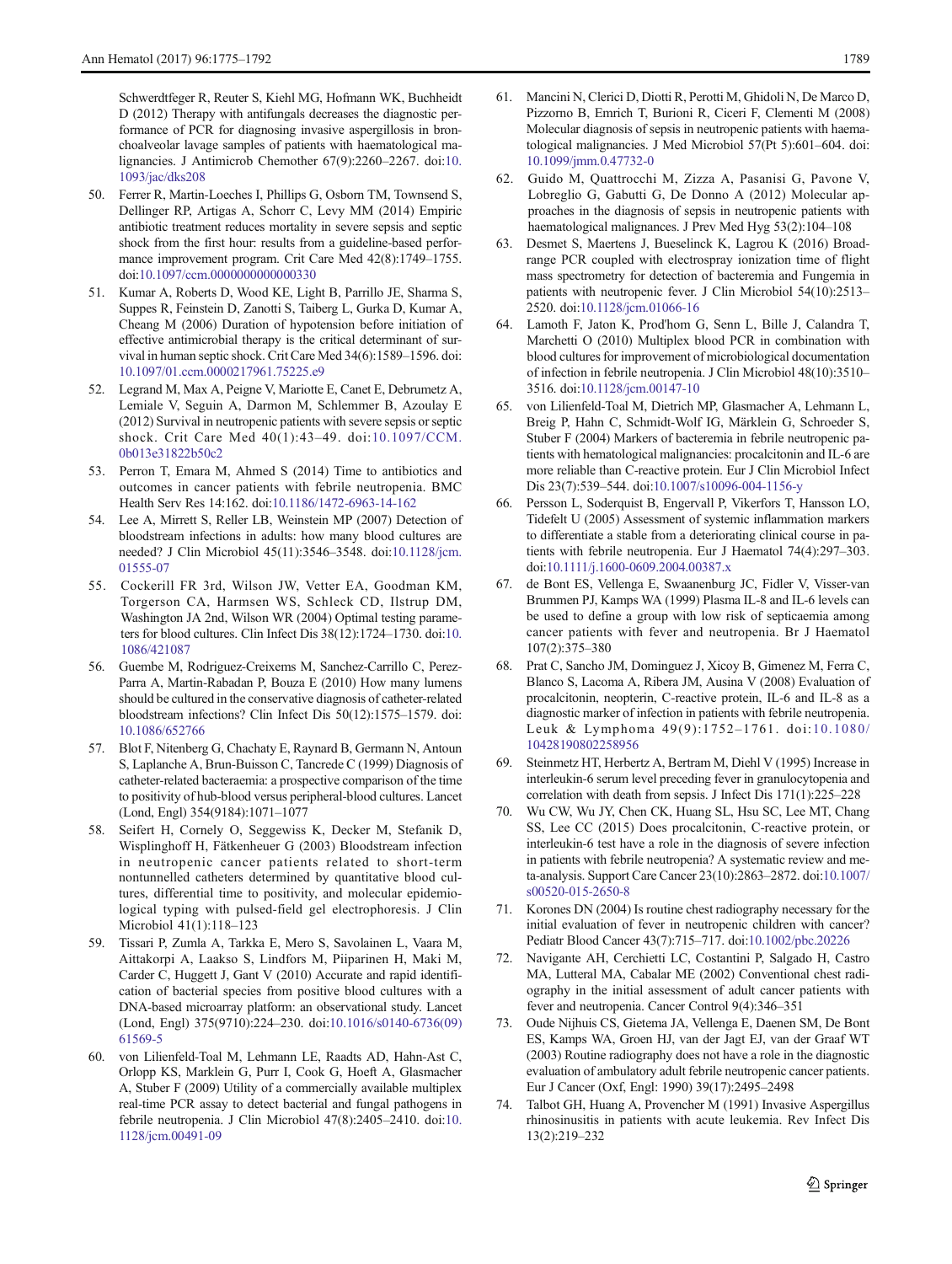<span id="page-14-0"></span>Schwerdtfeger R, Reuter S, Kiehl MG, Hofmann WK, Buchheidt D (2012) Therapy with antifungals decreases the diagnostic performance of PCR for diagnosing invasive aspergillosis in bronchoalveolar lavage samples of patients with haematological malignancies. J Antimicrob Chemother 67(9):2260–2267. doi:[10.](http://dx.doi.org/10.1093/jac/dks208) [1093/jac/dks208](http://dx.doi.org/10.1093/jac/dks208)

- 50. Ferrer R, Martin-Loeches I, Phillips G, Osborn TM, Townsend S, Dellinger RP, Artigas A, Schorr C, Levy MM (2014) Empiric antibiotic treatment reduces mortality in severe sepsis and septic shock from the first hour: results from a guideline-based performance improvement program. Crit Care Med 42(8):1749–1755. doi[:10.1097/ccm.0000000000000330](http://dx.doi.org/10.1097/ccm.0000000000000330)
- 51. Kumar A, Roberts D, Wood KE, Light B, Parrillo JE, Sharma S, Suppes R, Feinstein D, Zanotti S, Taiberg L, Gurka D, Kumar A, Cheang M (2006) Duration of hypotension before initiation of effective antimicrobial therapy is the critical determinant of survival in human septic shock. Crit Care Med 34(6):1589–1596. doi: [10.1097/01.ccm.0000217961.75225.e9](http://dx.doi.org/10.1097/01.ccm.0000217961.75225.e9)
- 52. Legrand M, Max A, Peigne V, Mariotte E, Canet E, Debrumetz A, Lemiale V, Seguin A, Darmon M, Schlemmer B, Azoulay E (2012) Survival in neutropenic patients with severe sepsis or septic shock. Crit Care Med 40(1):43–49. doi:[10.1097/CCM.](http://dx.doi.org/10.1097/CCM.0b013e31822b50c2) [0b013e31822b50c2](http://dx.doi.org/10.1097/CCM.0b013e31822b50c2)
- 53. Perron T, Emara M, Ahmed S (2014) Time to antibiotics and outcomes in cancer patients with febrile neutropenia. BMC Health Serv Res 14:162. doi[:10.1186/1472-6963-14-162](http://dx.doi.org/10.1186/1472-6963-14-162)
- 54. Lee A, Mirrett S, Reller LB, Weinstein MP (2007) Detection of bloodstream infections in adults: how many blood cultures are needed? J Clin Microbiol 45(11):3546–3548. doi[:10.1128/jcm.](http://dx.doi.org/10.1128/jcm.01555-07) [01555-07](http://dx.doi.org/10.1128/jcm.01555-07)
- 55. Cockerill FR 3rd, Wilson JW, Vetter EA, Goodman KM, Torgerson CA, Harmsen WS, Schleck CD, Ilstrup DM, Washington JA 2nd, Wilson WR (2004) Optimal testing parameters for blood cultures. Clin Infect Dis 38(12):1724–1730. doi:[10.](http://dx.doi.org/10.1086/421087) [1086/421087](http://dx.doi.org/10.1086/421087)
- 56. Guembe M, Rodriguez-Creixems M, Sanchez-Carrillo C, Perez-Parra A, Martin-Rabadan P, Bouza E (2010) How many lumens should be cultured in the conservative diagnosis of catheter-related bloodstream infections? Clin Infect Dis 50(12):1575–1579. doi: [10.1086/652766](http://dx.doi.org/10.1086/652766)
- 57. Blot F, Nitenberg G, Chachaty E, Raynard B, Germann N, Antoun S, Laplanche A, Brun-Buisson C, Tancrede C (1999) Diagnosis of catheter-related bacteraemia: a prospective comparison of the time to positivity of hub-blood versus peripheral-blood cultures. Lancet (Lond, Engl) 354(9184):1071–1077
- 58. Seifert H, Cornely O, Seggewiss K, Decker M, Stefanik D, Wisplinghoff H, Fätkenheuer G (2003) Bloodstream infection in neutropenic cancer patients related to short-term nontunnelled catheters determined by quantitative blood cultures, differential time to positivity, and molecular epidemiological typing with pulsed-field gel electrophoresis. J Clin Microbiol 41(1):118–123
- 59. Tissari P, Zumla A, Tarkka E, Mero S, Savolainen L, Vaara M, Aittakorpi A, Laakso S, Lindfors M, Piiparinen H, Maki M, Carder C, Huggett J, Gant V (2010) Accurate and rapid identification of bacterial species from positive blood cultures with a DNA-based microarray platform: an observational study. Lancet (Lond, Engl) 375(9710):224–230. doi[:10.1016/s0140-6736\(09\)](http://dx.doi.org/10.1016/s0140-6736(09)61569-5) [61569-5](http://dx.doi.org/10.1016/s0140-6736(09)61569-5)
- 60. von Lilienfeld-Toal M, Lehmann LE, Raadts AD, Hahn-Ast C, Orlopp KS, Marklein G, Purr I, Cook G, Hoeft A, Glasmacher A, Stuber F (2009) Utility of a commercially available multiplex real-time PCR assay to detect bacterial and fungal pathogens in febrile neutropenia. J Clin Microbiol 47(8):2405–2410. doi:[10.](http://dx.doi.org/10.1128/jcm.00491-09) [1128/jcm.00491-09](http://dx.doi.org/10.1128/jcm.00491-09)
- 61. Mancini N, Clerici D, Diotti R, Perotti M, Ghidoli N, De Marco D, Pizzorno B, Emrich T, Burioni R, Ciceri F, Clementi M (2008) Molecular diagnosis of sepsis in neutropenic patients with haematological malignancies. J Med Microbiol 57(Pt 5):601–604. doi: [10.1099/jmm.0.47732-0](http://dx.doi.org/10.1099/jmm.0.47732-0)
- 62. Guido M, Quattrocchi M, Zizza A, Pasanisi G, Pavone V, Lobreglio G, Gabutti G, De Donno A (2012) Molecular approaches in the diagnosis of sepsis in neutropenic patients with haematological malignances. J Prev Med Hyg 53(2):104–108
- 63. Desmet S, Maertens J, Bueselinck K, Lagrou K (2016) Broadrange PCR coupled with electrospray ionization time of flight mass spectrometry for detection of bacteremia and Fungemia in patients with neutropenic fever. J Clin Microbiol 54(10):2513– 2520. doi[:10.1128/jcm.01066-16](http://dx.doi.org/10.1128/jcm.01066-16)
- 64. Lamoth F, Jaton K, Prod'hom G, Senn L, Bille J, Calandra T, Marchetti O (2010) Multiplex blood PCR in combination with blood cultures for improvement of microbiological documentation of infection in febrile neutropenia. J Clin Microbiol 48(10):3510– 3516. doi[:10.1128/jcm.00147-10](http://dx.doi.org/10.1128/jcm.00147-10)
- 65. von Lilienfeld-Toal M, Dietrich MP, Glasmacher A, Lehmann L, Breig P, Hahn C, Schmidt-Wolf IG, Märklein G, Schroeder S, Stuber F (2004) Markers of bacteremia in febrile neutropenic patients with hematological malignancies: procalcitonin and IL-6 are more reliable than C-reactive protein. Eur J Clin Microbiol Infect Dis 23(7):539–544. doi[:10.1007/s10096-004-1156-y](http://dx.doi.org/10.1007/s10096-004-1156-y)
- 66. Persson L, Soderquist B, Engervall P, Vikerfors T, Hansson LO, Tidefelt U (2005) Assessment of systemic inflammation markers to differentiate a stable from a deteriorating clinical course in patients with febrile neutropenia. Eur J Haematol 74(4):297–303. doi[:10.1111/j.1600-0609.2004.00387.x](http://dx.doi.org/10.1111/j.1600-0609.2004.00387.x)
- 67. de Bont ES, Vellenga E, Swaanenburg JC, Fidler V, Visser-van Brummen PJ, Kamps WA (1999) Plasma IL-8 and IL-6 levels can be used to define a group with low risk of septicaemia among cancer patients with fever and neutropenia. Br J Haematol 107(2):375–380
- 68. Prat C, Sancho JM, Dominguez J, Xicoy B, Gimenez M, Ferra C, Blanco S, Lacoma A, Ribera JM, Ausina V (2008) Evaluation of procalcitonin, neopterin, C-reactive protein, IL-6 and IL-8 as a diagnostic marker of infection in patients with febrile neutropenia. Leuk & Lymphoma 49(9):1752–1761. doi:[10.1080/](http://dx.doi.org/10.1080/10428190802258956) [10428190802258956](http://dx.doi.org/10.1080/10428190802258956)
- 69. Steinmetz HT, Herbertz A, Bertram M, Diehl V (1995) Increase in interleukin-6 serum level preceding fever in granulocytopenia and correlation with death from sepsis. J Infect Dis 171(1):225–228
- 70. Wu CW, Wu JY, Chen CK, Huang SL, Hsu SC, Lee MT, Chang SS, Lee CC (2015) Does procalcitonin, C-reactive protein, or interleukin-6 test have a role in the diagnosis of severe infection in patients with febrile neutropenia? A systematic review and meta-analysis. Support Care Cancer 23(10):2863–2872. doi[:10.1007/](http://dx.doi.org/10.1007/s00520-015-2650-8) [s00520-015-2650-8](http://dx.doi.org/10.1007/s00520-015-2650-8)
- 71. Korones DN (2004) Is routine chest radiography necessary for the initial evaluation of fever in neutropenic children with cancer? Pediatr Blood Cancer 43(7):715–717. doi[:10.1002/pbc.20226](http://dx.doi.org/10.1002/pbc.20226)
- 72. Navigante AH, Cerchietti LC, Costantini P, Salgado H, Castro MA, Lutteral MA, Cabalar ME (2002) Conventional chest radiography in the initial assessment of adult cancer patients with fever and neutropenia. Cancer Control 9(4):346–351
- 73. Oude Nijhuis CS, Gietema JA, Vellenga E, Daenen SM, De Bont ES, Kamps WA, Groen HJ, van der Jagt EJ, van der Graaf WT (2003) Routine radiography does not have a role in the diagnostic evaluation of ambulatory adult febrile neutropenic cancer patients. Eur J Cancer (Oxf, Engl: 1990) 39(17):2495–2498
- 74. Talbot GH, Huang A, Provencher M (1991) Invasive Aspergillus rhinosinusitis in patients with acute leukemia. Rev Infect Dis 13(2):219–232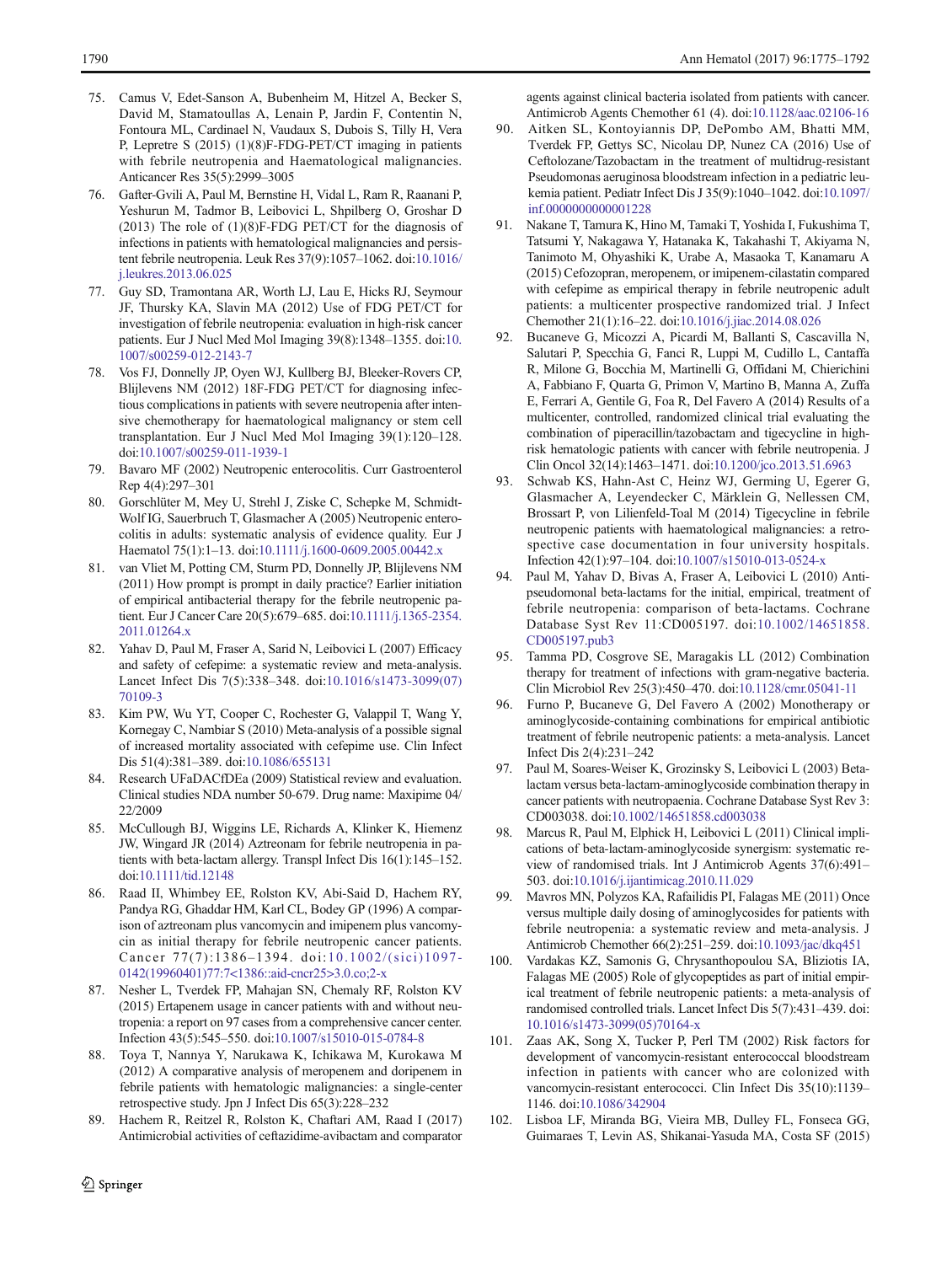- <span id="page-15-0"></span>75. Camus V, Edet-Sanson A, Bubenheim M, Hitzel A, Becker S, David M, Stamatoullas A, Lenain P, Jardin F, Contentin N, Fontoura ML, Cardinael N, Vaudaux S, Dubois S, Tilly H, Vera P, Lepretre S (2015) (1)(8)F-FDG-PET/CT imaging in patients with febrile neutropenia and Haematological malignancies. Anticancer Res 35(5):2999–3005
- 76. Gafter-Gvili A, Paul M, Bernstine H, Vidal L, Ram R, Raanani P, Yeshurun M, Tadmor B, Leibovici L, Shpilberg O, Groshar D (2013) The role of (1)(8)F-FDG PET/CT for the diagnosis of infections in patients with hematological malignancies and persistent febrile neutropenia. Leuk Res 37(9):1057–1062. doi[:10.1016/](http://dx.doi.org/10.1016/j.leukres.2013.06.025) [j.leukres.2013.06.025](http://dx.doi.org/10.1016/j.leukres.2013.06.025)
- 77. Guy SD, Tramontana AR, Worth LJ, Lau E, Hicks RJ, Seymour JF, Thursky KA, Slavin MA (2012) Use of FDG PET/CT for investigation of febrile neutropenia: evaluation in high-risk cancer patients. Eur J Nucl Med Mol Imaging 39(8):1348–1355. doi:[10.](http://dx.doi.org/10.1007/s00259-012-2143-7) [1007/s00259-012-2143-7](http://dx.doi.org/10.1007/s00259-012-2143-7)
- 78. Vos FJ, Donnelly JP, Oyen WJ, Kullberg BJ, Bleeker-Rovers CP, Blijlevens NM (2012) 18F-FDG PET/CT for diagnosing infectious complications in patients with severe neutropenia after intensive chemotherapy for haematological malignancy or stem cell transplantation. Eur J Nucl Med Mol Imaging 39(1):120–128. doi[:10.1007/s00259-011-1939-1](http://dx.doi.org/10.1007/s00259-011-1939-1)
- 79. Bavaro MF (2002) Neutropenic enterocolitis. Curr Gastroenterol Rep 4(4):297–301
- 80. Gorschlüter M, Mey U, Strehl J, Ziske C, Schepke M, Schmidt-Wolf IG, Sauerbruch T, Glasmacher A (2005) Neutropenic enterocolitis in adults: systematic analysis of evidence quality. Eur J Haematol 75(1):1–13. doi:[10.1111/j.1600-0609.2005.00442.x](http://dx.doi.org/10.1111/j.1600-0609.2005.00442.x)
- 81. van Vliet M, Potting CM, Sturm PD, Donnelly JP, Blijlevens NM (2011) How prompt is prompt in daily practice? Earlier initiation of empirical antibacterial therapy for the febrile neutropenic patient. Eur J Cancer Care 20(5):679–685. doi[:10.1111/j.1365-2354.](http://dx.doi.org/10.1111/j.1365-2354.2011.01264.x) [2011.01264.x](http://dx.doi.org/10.1111/j.1365-2354.2011.01264.x)
- 82. Yahav D, Paul M, Fraser A, Sarid N, Leibovici L (2007) Efficacy and safety of cefepime: a systematic review and meta-analysis. Lancet Infect Dis 7(5):338–348. doi[:10.1016/s1473-3099\(07\)](http://dx.doi.org/10.1016/s1473-3099(07)70109-3) [70109-3](http://dx.doi.org/10.1016/s1473-3099(07)70109-3)
- 83. Kim PW, Wu YT, Cooper C, Rochester G, Valappil T, Wang Y, Kornegay C, Nambiar S (2010) Meta-analysis of a possible signal of increased mortality associated with cefepime use. Clin Infect Dis 51(4):381–389. doi:[10.1086/655131](http://dx.doi.org/10.1086/655131)
- 84. Research UFaDACfDEa (2009) Statistical review and evaluation. Clinical studies NDA number 50-679. Drug name: Maxipime 04/ 22/2009
- 85. McCullough BJ, Wiggins LE, Richards A, Klinker K, Hiemenz JW, Wingard JR (2014) Aztreonam for febrile neutropenia in patients with beta-lactam allergy. Transpl Infect Dis 16(1):145–152. doi[:10.1111/tid.12148](http://dx.doi.org/10.1111/tid.12148)
- 86. Raad II, Whimbey EE, Rolston KV, Abi-Said D, Hachem RY, Pandya RG, Ghaddar HM, Karl CL, Bodey GP (1996) A comparison of aztreonam plus vancomycin and imipenem plus vancomycin as initial therapy for febrile neutropenic cancer patients. Cancer 77(7):1386–1394. doi:[10.1002/\(sici\)1097-](http://dx.doi.org/10.1002/(sici)1097-0142(19960401)77:7%3C1386::aid-cncr25%3E3.0.co;2-x) [0142\(19960401\)77:7<1386::aid-cncr25>3.0.co;2-x](http://dx.doi.org/10.1002/(sici)1097-0142(19960401)77:7%3C1386::aid-cncr25%3E3.0.co;2-x)
- 87. Nesher L, Tverdek FP, Mahajan SN, Chemaly RF, Rolston KV (2015) Ertapenem usage in cancer patients with and without neutropenia: a report on 97 cases from a comprehensive cancer center. Infection 43(5):545–550. doi:[10.1007/s15010-015-0784-8](http://dx.doi.org/10.1007/s15010-015-0784-8)
- 88. Toya T, Nannya Y, Narukawa K, Ichikawa M, Kurokawa M (2012) A comparative analysis of meropenem and doripenem in febrile patients with hematologic malignancies: a single-center retrospective study. Jpn J Infect Dis 65(3):228–232
- 89. Hachem R, Reitzel R, Rolston K, Chaftari AM, Raad I (2017) Antimicrobial activities of ceftazidime-avibactam and comparator

 $\hat{Z}$  Springer

agents against clinical bacteria isolated from patients with cancer. Antimicrob Agents Chemother 61 (4). doi:[10.1128/aac.02106-16](http://dx.doi.org/10.1128/aac.02106-16)

- 90. Aitken SL, Kontoyiannis DP, DePombo AM, Bhatti MM, Tverdek FP, Gettys SC, Nicolau DP, Nunez CA (2016) Use of Ceftolozane/Tazobactam in the treatment of multidrug-resistant Pseudomonas aeruginosa bloodstream infection in a pediatric leukemia patient. Pediatr Infect Dis J 35(9):1040–1042. doi[:10.1097/](http://dx.doi.org/10.1097/inf.0000000000001228) [inf.0000000000001228](http://dx.doi.org/10.1097/inf.0000000000001228)
- 91. Nakane T, Tamura K, Hino M, Tamaki T, Yoshida I, Fukushima T, Tatsumi Y, Nakagawa Y, Hatanaka K, Takahashi T, Akiyama N, Tanimoto M, Ohyashiki K, Urabe A, Masaoka T, Kanamaru A (2015) Cefozopran, meropenem, or imipenem-cilastatin compared with cefepime as empirical therapy in febrile neutropenic adult patients: a multicenter prospective randomized trial. J Infect Chemother 21(1):16–22. doi:[10.1016/j.jiac.2014.08.026](http://dx.doi.org/10.1016/j.jiac.2014.08.026)
- 92. Bucaneve G, Micozzi A, Picardi M, Ballanti S, Cascavilla N, Salutari P, Specchia G, Fanci R, Luppi M, Cudillo L, Cantaffa R, Milone G, Bocchia M, Martinelli G, Offidani M, Chierichini A, Fabbiano F, Quarta G, Primon V, Martino B, Manna A, Zuffa E, Ferrari A, Gentile G, Foa R, Del Favero A (2014) Results of a multicenter, controlled, randomized clinical trial evaluating the combination of piperacillin/tazobactam and tigecycline in highrisk hematologic patients with cancer with febrile neutropenia. J Clin Oncol 32(14):1463–1471. doi:[10.1200/jco.2013.51.6963](http://dx.doi.org/10.1200/jco.2013.51.6963)
- 93. Schwab KS, Hahn-Ast C, Heinz WJ, Germing U, Egerer G, Glasmacher A, Leyendecker C, Märklein G, Nellessen CM, Brossart P, von Lilienfeld-Toal M (2014) Tigecycline in febrile neutropenic patients with haematological malignancies: a retrospective case documentation in four university hospitals. Infection 42(1):97–104. doi[:10.1007/s15010-013-0524-x](http://dx.doi.org/10.1007/s15010-013-0524-x)
- 94. Paul M, Yahav D, Bivas A, Fraser A, Leibovici L (2010) Antipseudomonal beta-lactams for the initial, empirical, treatment of febrile neutropenia: comparison of beta-lactams. Cochrane Database Syst Rev 11:CD005197. doi:[10.1002/14651858.](http://dx.doi.org/10.1002/14651858.CD005197.pub3) [CD005197.pub3](http://dx.doi.org/10.1002/14651858.CD005197.pub3)
- 95. Tamma PD, Cosgrove SE, Maragakis LL (2012) Combination therapy for treatment of infections with gram-negative bacteria. Clin Microbiol Rev 25(3):450–470. doi[:10.1128/cmr.05041-11](http://dx.doi.org/10.1128/cmr.05041-11)
- 96. Furno P, Bucaneve G, Del Favero A (2002) Monotherapy or aminoglycoside-containing combinations for empirical antibiotic treatment of febrile neutropenic patients: a meta-analysis. Lancet Infect Dis 2(4):231–242
- 97. Paul M, Soares-Weiser K, Grozinsky S, Leibovici L (2003) Betalactam versus beta-lactam-aminoglycoside combination therapy in cancer patients with neutropaenia. Cochrane Database Syst Rev 3: CD003038. doi:[10.1002/14651858.cd003038](http://dx.doi.org/10.1002/14651858.cd003038)
- 98. Marcus R, Paul M, Elphick H, Leibovici L (2011) Clinical implications of beta-lactam-aminoglycoside synergism: systematic review of randomised trials. Int J Antimicrob Agents 37(6):491– 503. doi:[10.1016/j.ijantimicag.2010.11.029](http://dx.doi.org/10.1016/j.ijantimicag.2010.11.029)
- 99. Mavros MN, Polyzos KA, Rafailidis PI, Falagas ME (2011) Once versus multiple daily dosing of aminoglycosides for patients with febrile neutropenia: a systematic review and meta-analysis. J Antimicrob Chemother 66(2):251–259. doi[:10.1093/jac/dkq451](http://dx.doi.org/10.1093/jac/dkq451)
- 100. Vardakas KZ, Samonis G, Chrysanthopoulou SA, Bliziotis IA, Falagas ME (2005) Role of glycopeptides as part of initial empirical treatment of febrile neutropenic patients: a meta-analysis of randomised controlled trials. Lancet Infect Dis 5(7):431–439. doi: [10.1016/s1473-3099\(05\)70164-x](http://dx.doi.org/10.1016/s1473-3099(05)70164-x)
- 101. Zaas AK, Song X, Tucker P, Perl TM (2002) Risk factors for development of vancomycin-resistant enterococcal bloodstream infection in patients with cancer who are colonized with vancomycin-resistant enterococci. Clin Infect Dis 35(10):1139– 1146. doi:[10.1086/342904](http://dx.doi.org/10.1086/342904)
- 102. Lisboa LF, Miranda BG, Vieira MB, Dulley FL, Fonseca GG, Guimaraes T, Levin AS, Shikanai-Yasuda MA, Costa SF (2015)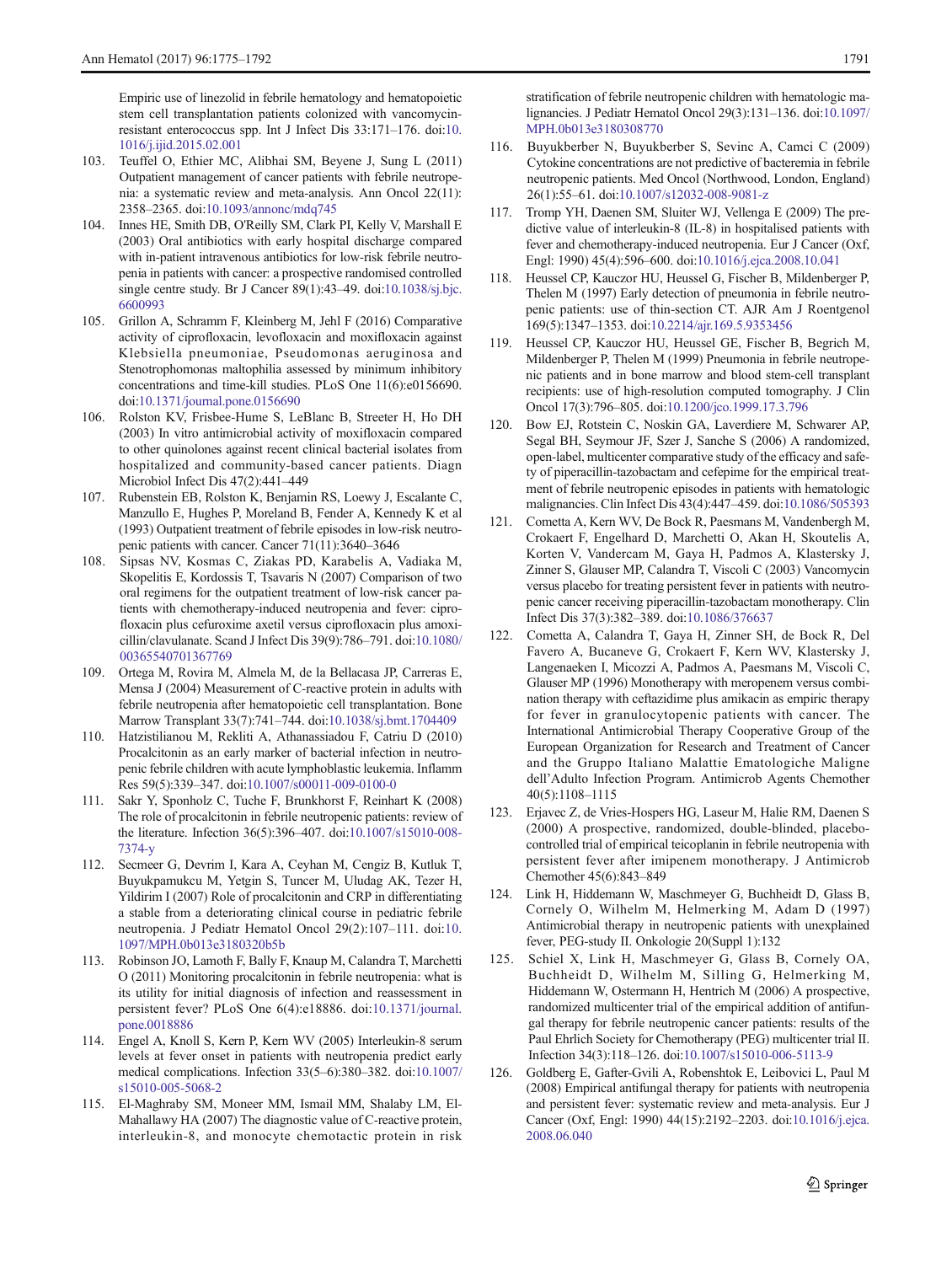<span id="page-16-0"></span>Empiric use of linezolid in febrile hematology and hematopoietic stem cell transplantation patients colonized with vancomycinresistant enterococcus spp. Int J Infect Dis 33:171–176. doi:[10.](http://dx.doi.org/10.1016/j.ijid.2015.02.001) [1016/j.ijid.2015.02.001](http://dx.doi.org/10.1016/j.ijid.2015.02.001)

- 103. Teuffel O, Ethier MC, Alibhai SM, Beyene J, Sung L (2011) Outpatient management of cancer patients with febrile neutropenia: a systematic review and meta-analysis. Ann Oncol 22(11): 2358–2365. doi:[10.1093/annonc/mdq745](http://dx.doi.org/10.1093/annonc/mdq745)
- 104. Innes HE, Smith DB, O'Reilly SM, Clark PI, Kelly V, Marshall E (2003) Oral antibiotics with early hospital discharge compared with in-patient intravenous antibiotics for low-risk febrile neutropenia in patients with cancer: a prospective randomised controlled single centre study. Br J Cancer 89(1):43–49. doi:[10.1038/sj.bjc.](http://dx.doi.org/10.1038/sj.bjc.6600993) [6600993](http://dx.doi.org/10.1038/sj.bjc.6600993)
- 105. Grillon A, Schramm F, Kleinberg M, Jehl F (2016) Comparative activity of ciprofloxacin, levofloxacin and moxifloxacin against Klebsiella pneumoniae, Pseudomonas aeruginosa and Stenotrophomonas maltophilia assessed by minimum inhibitory concentrations and time-kill studies. PLoS One 11(6):e0156690. doi[:10.1371/journal.pone.0156690](http://dx.doi.org/10.1371/journal.pone.0156690)
- 106. Rolston KV, Frisbee-Hume S, LeBlanc B, Streeter H, Ho DH (2003) In vitro antimicrobial activity of moxifloxacin compared to other quinolones against recent clinical bacterial isolates from hospitalized and community-based cancer patients. Diagn Microbiol Infect Dis 47(2):441–449
- 107. Rubenstein EB, Rolston K, Benjamin RS, Loewy J, Escalante C, Manzullo E, Hughes P, Moreland B, Fender A, Kennedy K et al (1993) Outpatient treatment of febrile episodes in low-risk neutropenic patients with cancer. Cancer 71(11):3640–3646
- 108. Sipsas NV, Kosmas C, Ziakas PD, Karabelis A, Vadiaka M, Skopelitis E, Kordossis T, Tsavaris N (2007) Comparison of two oral regimens for the outpatient treatment of low-risk cancer patients with chemotherapy-induced neutropenia and fever: ciprofloxacin plus cefuroxime axetil versus ciprofloxacin plus amoxicillin/clavulanate. Scand J Infect Dis 39(9):786–791. doi[:10.1080/](http://dx.doi.org/10.1080/00365540701367769) [00365540701367769](http://dx.doi.org/10.1080/00365540701367769)
- 109. Ortega M, Rovira M, Almela M, de la Bellacasa JP, Carreras E, Mensa J (2004) Measurement of C-reactive protein in adults with febrile neutropenia after hematopoietic cell transplantation. Bone Marrow Transplant 33(7):741–744. doi:[10.1038/sj.bmt.1704409](http://dx.doi.org/10.1038/sj.bmt.1704409)
- 110. Hatzistilianou M, Rekliti A, Athanassiadou F, Catriu D (2010) Procalcitonin as an early marker of bacterial infection in neutropenic febrile children with acute lymphoblastic leukemia. Inflamm Res 59(5):339–347. doi[:10.1007/s00011-009-0100-0](http://dx.doi.org/10.1007/s00011-009-0100-0)
- 111. Sakr Y, Sponholz C, Tuche F, Brunkhorst F, Reinhart K (2008) The role of procalcitonin in febrile neutropenic patients: review of the literature. Infection 36(5):396–407. doi[:10.1007/s15010-008-](http://dx.doi.org/10.1007/s15010-008-7374-y) [7374-y](http://dx.doi.org/10.1007/s15010-008-7374-y)
- 112. Secmeer G, Devrim I, Kara A, Ceyhan M, Cengiz B, Kutluk T, Buyukpamukcu M, Yetgin S, Tuncer M, Uludag AK, Tezer H, Yildirim I (2007) Role of procalcitonin and CRP in differentiating a stable from a deteriorating clinical course in pediatric febrile neutropenia. J Pediatr Hematol Oncol 29(2):107–111. doi[:10.](http://dx.doi.org/10.1097/MPH.0b013e3180320b5b) [1097/MPH.0b013e3180320b5b](http://dx.doi.org/10.1097/MPH.0b013e3180320b5b)
- 113. Robinson JO, Lamoth F, Bally F, Knaup M, Calandra T, Marchetti O (2011) Monitoring procalcitonin in febrile neutropenia: what is its utility for initial diagnosis of infection and reassessment in persistent fever? PLoS One 6(4):e18886. doi[:10.1371/journal.](http://dx.doi.org/10.1371/journal.pone.0018886) [pone.0018886](http://dx.doi.org/10.1371/journal.pone.0018886)
- 114. Engel A, Knoll S, Kern P, Kern WV (2005) Interleukin-8 serum levels at fever onset in patients with neutropenia predict early medical complications. Infection 33(5–6):380–382. doi[:10.1007/](http://dx.doi.org/10.1007/s15010-005-5068-2) [s15010-005-5068-2](http://dx.doi.org/10.1007/s15010-005-5068-2)
- 115. El-Maghraby SM, Moneer MM, Ismail MM, Shalaby LM, El-Mahallawy HA (2007) The diagnostic value of C-reactive protein, interleukin-8, and monocyte chemotactic protein in risk

stratification of febrile neutropenic children with hematologic malignancies. J Pediatr Hematol Oncol 29(3):131–136. doi[:10.1097/](http://dx.doi.org/10.1097/MPH.0b013e3180308770) [MPH.0b013e3180308770](http://dx.doi.org/10.1097/MPH.0b013e3180308770)

- 116. Buyukberber N, Buyukberber S, Sevinc A, Camci C (2009) Cytokine concentrations are not predictive of bacteremia in febrile neutropenic patients. Med Oncol (Northwood, London, England) 26(1):55–61. doi[:10.1007/s12032-008-9081-z](http://dx.doi.org/10.1007/s12032-008-9081-z)
- 117. Tromp YH, Daenen SM, Sluiter WJ, Vellenga E (2009) The predictive value of interleukin-8 (IL-8) in hospitalised patients with fever and chemotherapy-induced neutropenia. Eur J Cancer (Oxf, Engl: 1990) 45(4):596–600. doi[:10.1016/j.ejca.2008.10.041](http://dx.doi.org/10.1016/j.ejca.2008.10.041)
- 118. Heussel CP, Kauczor HU, Heussel G, Fischer B, Mildenberger P, Thelen M (1997) Early detection of pneumonia in febrile neutropenic patients: use of thin-section CT. AJR Am J Roentgenol 169(5):1347–1353. doi[:10.2214/ajr.169.5.9353456](http://dx.doi.org/10.2214/ajr.169.5.9353456)
- 119. Heussel CP, Kauczor HU, Heussel GE, Fischer B, Begrich M, Mildenberger P, Thelen M (1999) Pneumonia in febrile neutropenic patients and in bone marrow and blood stem-cell transplant recipients: use of high-resolution computed tomography. J Clin Oncol 17(3):796–805. doi[:10.1200/jco.1999.17.3.796](http://dx.doi.org/10.1200/jco.1999.17.3.796)
- 120. Bow EJ, Rotstein C, Noskin GA, Laverdiere M, Schwarer AP, Segal BH, Seymour JF, Szer J, Sanche S (2006) A randomized, open-label, multicenter comparative study of the efficacy and safety of piperacillin-tazobactam and cefepime for the empirical treatment of febrile neutropenic episodes in patients with hematologic malignancies. Clin Infect Dis 43(4):447–459. doi[:10.1086/505393](http://dx.doi.org/10.1086/505393)
- 121. Cometta A, Kern WV, De Bock R, Paesmans M, Vandenbergh M, Crokaert F, Engelhard D, Marchetti O, Akan H, Skoutelis A, Korten V, Vandercam M, Gaya H, Padmos A, Klastersky J, Zinner S, Glauser MP, Calandra T, Viscoli C (2003) Vancomycin versus placebo for treating persistent fever in patients with neutropenic cancer receiving piperacillin-tazobactam monotherapy. Clin Infect Dis 37(3):382–389. doi:[10.1086/376637](http://dx.doi.org/10.1086/376637)
- 122. Cometta A, Calandra T, Gaya H, Zinner SH, de Bock R, Del Favero A, Bucaneve G, Crokaert F, Kern WV, Klastersky J, Langenaeken I, Micozzi A, Padmos A, Paesmans M, Viscoli C, Glauser MP (1996) Monotherapy with meropenem versus combination therapy with ceftazidime plus amikacin as empiric therapy for fever in granulocytopenic patients with cancer. The International Antimicrobial Therapy Cooperative Group of the European Organization for Research and Treatment of Cancer and the Gruppo Italiano Malattie Ematologiche Maligne dell'Adulto Infection Program. Antimicrob Agents Chemother 40(5):1108–1115
- 123. Erjavec Z, de Vries-Hospers HG, Laseur M, Halie RM, Daenen S (2000) A prospective, randomized, double-blinded, placebocontrolled trial of empirical teicoplanin in febrile neutropenia with persistent fever after imipenem monotherapy. J Antimicrob Chemother 45(6):843–849
- 124. Link H, Hiddemann W, Maschmeyer G, Buchheidt D, Glass B, Cornely O, Wilhelm M, Helmerking M, Adam D (1997) Antimicrobial therapy in neutropenic patients with unexplained fever, PEG-study II. Onkologie 20(Suppl 1):132
- 125. Schiel X, Link H, Maschmeyer G, Glass B, Cornely OA, Buchheidt D, Wilhelm M, Silling G, Helmerking M, Hiddemann W, Ostermann H, Hentrich M (2006) A prospective, randomized multicenter trial of the empirical addition of antifungal therapy for febrile neutropenic cancer patients: results of the Paul Ehrlich Society for Chemotherapy (PEG) multicenter trial II. Infection 34(3):118–126. doi:[10.1007/s15010-006-5113-9](http://dx.doi.org/10.1007/s15010-006-5113-9)
- 126. Goldberg E, Gafter-Gvili A, Robenshtok E, Leibovici L, Paul M (2008) Empirical antifungal therapy for patients with neutropenia and persistent fever: systematic review and meta-analysis. Eur J Cancer (Oxf, Engl: 1990) 44(15):2192–2203. doi:[10.1016/j.ejca.](http://dx.doi.org/10.1016/j.ejca.2008.06.040) [2008.06.040](http://dx.doi.org/10.1016/j.ejca.2008.06.040)